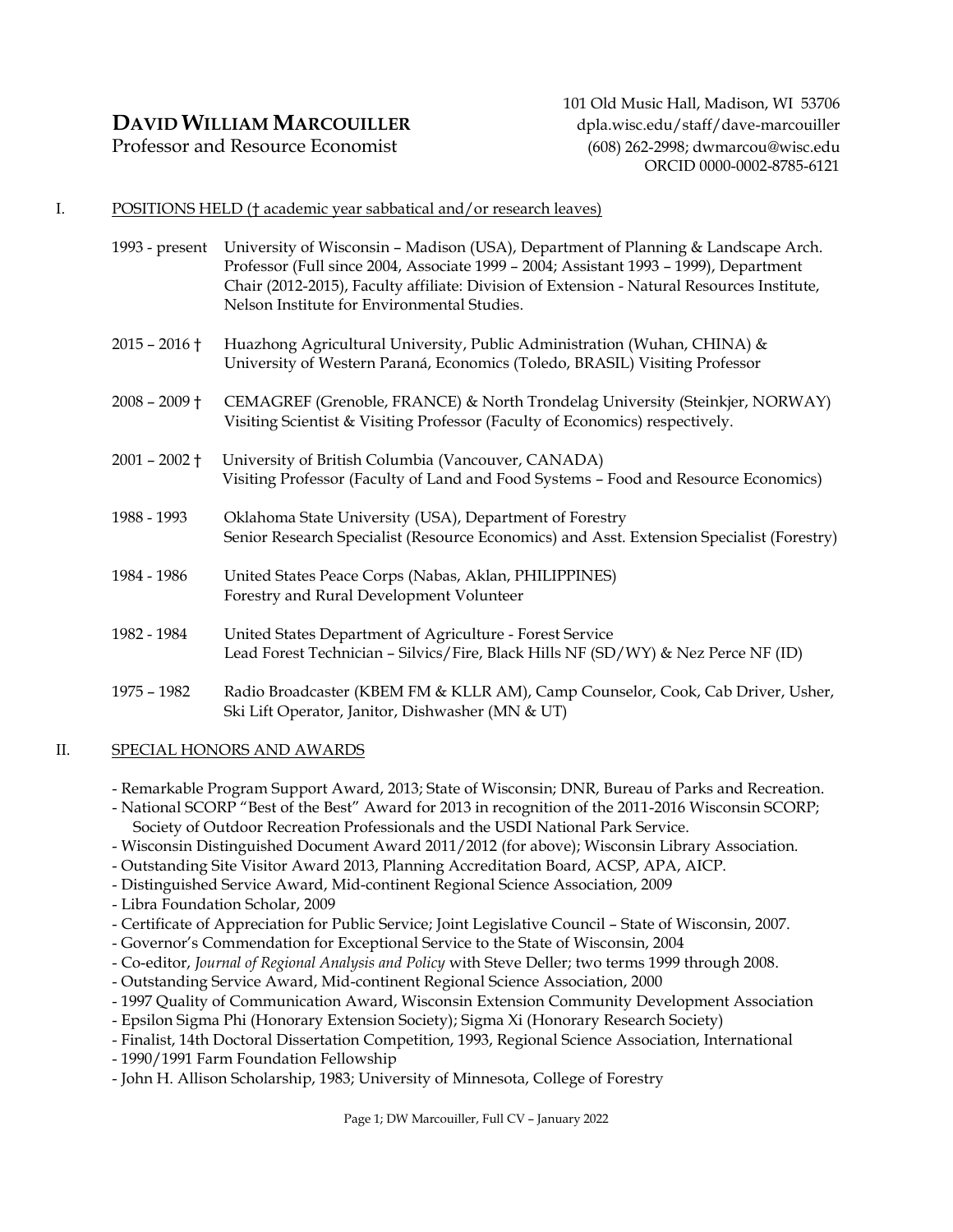# **DAVID WILLIAM MARCOUILLER** dpla.wisc.edu/staff/dave-marcouiller

Professor and Resource Economist (608) 262-2998; dwmarcou@wisc.edu

101 Old Music Hall, Madison, WI 53706 ORCID 0000-0002-8785-6121

### I. POSITIONS HELD († academic year sabbatical and/or research leaves)

1993 - present University of Wisconsin – Madison (USA), Department of Planning & Landscape Arch. Professor (Full since 2004, Associate 1999 – 2004; Assistant 1993 – 1999), Department Chair (2012-2015), Faculty affiliate: Division of Extension - Natural Resources Institute, Nelson Institute for Environmental Studies. 2015 – 2016 † Huazhong Agricultural University, Public Administration (Wuhan, CHINA) & University of Western Paraná, Economics (Toledo, BRASIL) Visiting Professor 2008 – 2009 † CEMAGREF (Grenoble, FRANCE) & North Trondelag University (Steinkjer, NORWAY) Visiting Scientist & Visiting Professor (Faculty of Economics) respectively. 2001 – 2002 † University of British Columbia (Vancouver, CANADA) Visiting Professor (Faculty of Land and Food Systems – Food and Resource Economics) 1988 - 1993 Oklahoma State University (USA), Department of Forestry Senior Research Specialist (Resource Economics) and Asst. Extension Specialist (Forestry) 1984 - 1986 United States Peace Corps (Nabas, Aklan, PHILIPPINES) Forestry and Rural Development Volunteer 1982 - 1984 United States Department of Agriculture - Forest Service Lead Forest Technician – Silvics/Fire, Black Hills NF (SD/WY) & Nez Perce NF (ID) 1975 – 1982 Radio Broadcaster (KBEM FM & KLLR AM), Camp Counselor, Cook, Cab Driver, Usher, Ski Lift Operator, Janitor, Dishwasher (MN & UT)

# II. SPECIAL HONORS AND AWARDS

- Remarkable Program Support Award, 2013; State of Wisconsin; DNR, Bureau of Parks and Recreation.

- National SCORP "Best of the Best" Award for 2013 in recognition of the 2011-2016 Wisconsin SCORP; Society of Outdoor Recreation Professionals and the USDI National Park Service.
- Wisconsin Distinguished Document Award 2011/2012 (for above); Wisconsin Library Association.
- Outstanding Site Visitor Award 2013, Planning Accreditation Board, ACSP, APA, AICP.
- Distinguished Service Award, Mid-continent Regional Science Association, 2009
- Libra Foundation Scholar, 2009
- Certificate of Appreciation for Public Service; Joint Legislative Council State of Wisconsin, 2007.
- Governor's Commendation for Exceptional Service to the State of Wisconsin, 2004
- Co-editor, *Journal of Regional Analysis and Policy* with Steve Deller; two terms 1999 through 2008.
- Outstanding Service Award, Mid-continent Regional Science Association, 2000
- 1997 Quality of Communication Award, Wisconsin Extension Community Development Association
- Epsilon Sigma Phi (Honorary Extension Society); Sigma Xi (Honorary Research Society)
- Finalist, 14th Doctoral Dissertation Competition, 1993, Regional Science Association, International
- 1990/1991 Farm Foundation Fellowship
- John H. Allison Scholarship, 1983; University of Minnesota, College of Forestry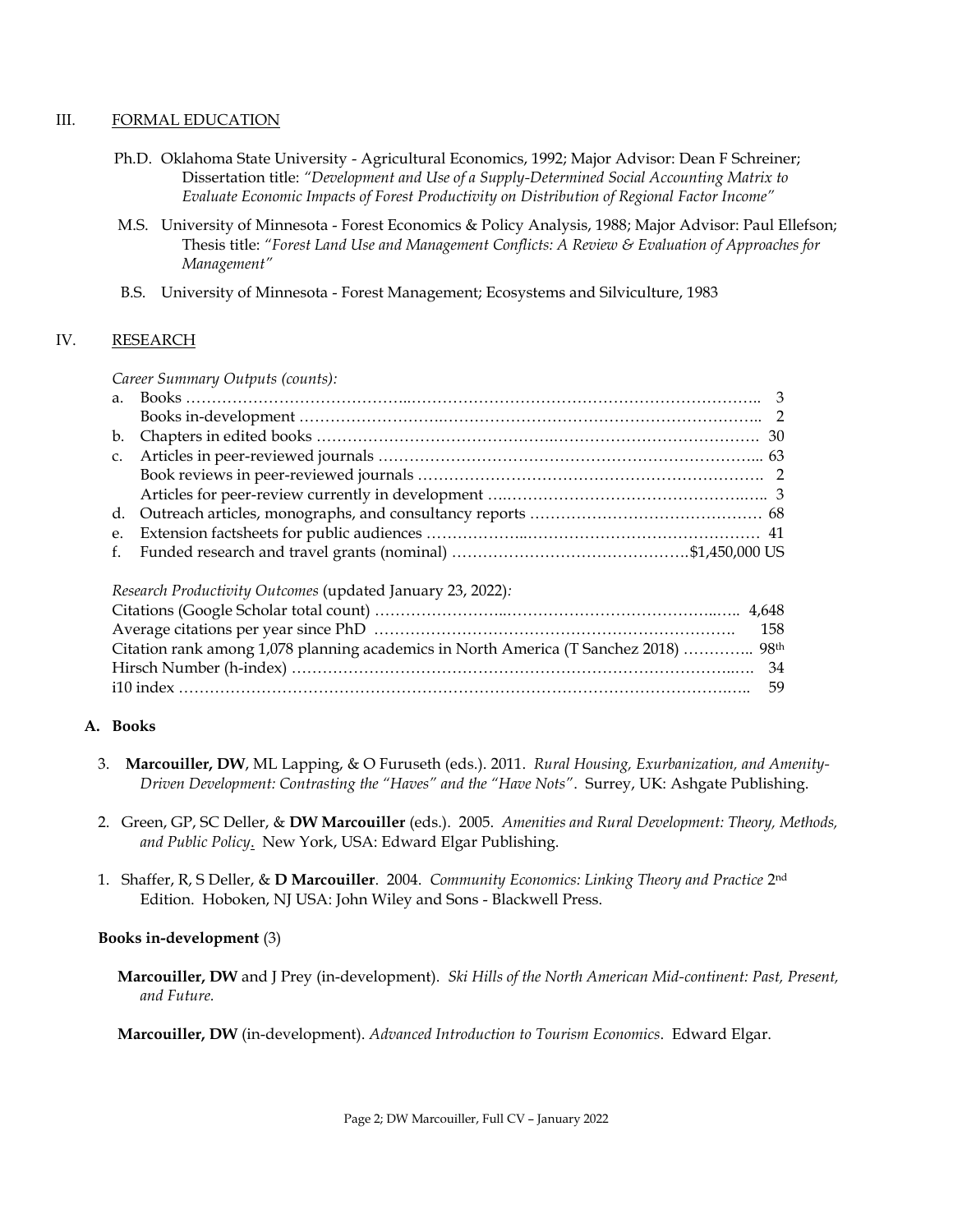#### III. FORMAL EDUCATION

- Ph.D. Oklahoma State University Agricultural Economics, 1992; Major Advisor: Dean F Schreiner; Dissertation title: *"Development and Use of a Supply-Determined Social Accounting Matrix to Evaluate Economic Impacts of Forest Productivity on Distribution of Regional Factor Income"*
- M.S. University of Minnesota Forest Economics & Policy Analysis, 1988; Major Advisor: Paul Ellefson; Thesis title: *"Forest Land Use and Management Conflicts: A Review & Evaluation of Approaches for Management"*
- B.S. University of Minnesota Forest Management; Ecosystems and Silviculture, 1983

## IV. RESEARCH

#### *Career Summary Outputs (counts):*

## *Research Productivity Outcomes* (updated January 23, 2022)*:*

| Citation rank among 1,078 planning academics in North America (T Sanchez 2018)  98 <sup>th</sup> |  |
|--------------------------------------------------------------------------------------------------|--|
|                                                                                                  |  |
|                                                                                                  |  |

## **A. Books**

- 3. **Marcouiller, DW**, ML Lapping, & O Furuseth (eds.). 2011. *Rural Housing, Exurbanization, and Amenity-Driven Development: Contrasting the "Haves" and the "Have Nots"*. Surrey, UK: Ashgate Publishing.
- 2. Green, GP, SC Deller, & **DW Marcouiller** (eds.). 2005. *Amenities and Rural Development: Theory, Methods, and Public Policy*. New York, USA: Edward Elgar Publishing.
- 1. Shaffer, R, S Deller, & **D Marcouiller**. 2004. *Community Economics: Linking Theory and Practice* 2 nd Edition. Hoboken, NJ USA: John Wiley and Sons - Blackwell Press.

## **Books in-development** (3)

 **Marcouiller, DW** and J Prey (in-development). *Ski Hills of the North American Mid-continent: Past, Present, and Future.*

**Marcouiller, DW** (in-development). *Advanced Introduction to Tourism Economics*. Edward Elgar.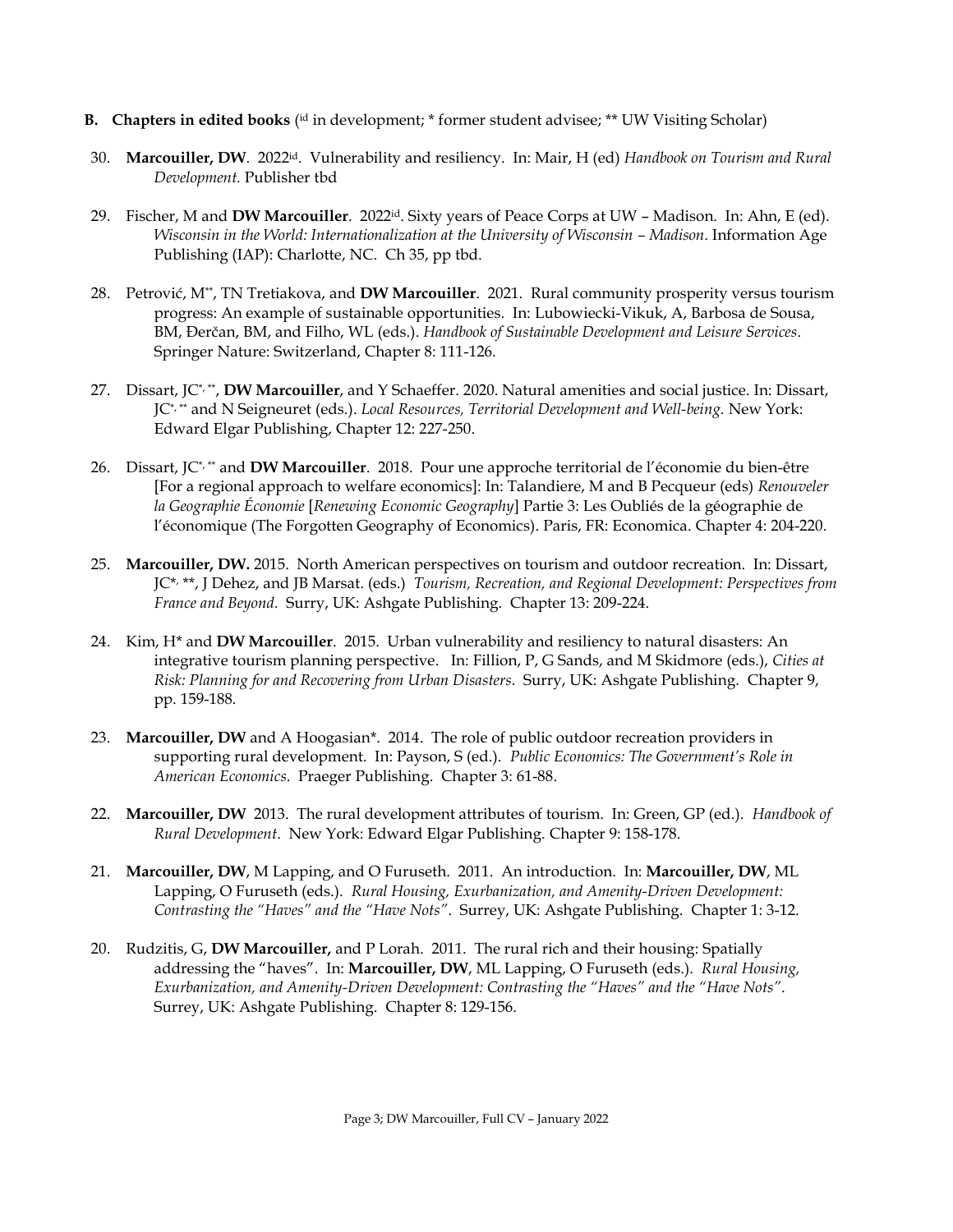- **B. Chapters in edited books** ( id in development; \* former student advisee; \*\* UW Visiting Scholar)
- 30. **Marcouiller, DW**. 2022<sup>id</sup>. Vulnerability and resiliency. In: Mair, H (ed) *Handbook on Tourism and Rural Development.* Publisher tbd
- 29. Fischer, M and **DW Marcouiller**. 2022id. Sixty years of Peace Corps at UW Madison. In: Ahn, E (ed). *Wisconsin in the World: Internationalization at the University of Wisconsin – Madison. Information Age* Publishing (IAP): Charlotte, NC. Ch 35, pp tbd.
- 28. Petrović, M\*\*, TN Tretiakova, and **DW Marcouiller**. 2021. Rural community prosperity versus tourism progress: An example of sustainable opportunities. In: Lubowiecki-Vikuk, A, Barbosa de Sousa, BM, Đerčan, BM, and Filho, WL (eds.). *Handbook of Sustainable Development and Leisure Services*. Springer Nature: Switzerland, Chapter 8: 111-126.
- 27. Dissart, JC\*, \*\* , **DW Marcouiller**, and Y Schaeffer. 2020. Natural amenities and social justice. In: Dissart, JC\*, \*\* and N Seigneuret (eds.). *Local Resources, Territorial Development and Well-being.* New York: Edward Elgar Publishing, Chapter 12: 227-250.
- 26. Dissart, JC\*, \*\* and **DW Marcouiller**. 2018. Pour une approche territorial de l'économie du bien-être [For a regional approach to welfare economics]: In: Talandiere, M and B Pecqueur (eds) *Renouveler la Geographie Économie* [*Renewing Economic Geography*] Partie 3: Les Oubliés de la géographie de l'économique (The Forgotten Geography of Economics). Paris, FR: Economica. Chapter 4: 204-220.
- 25. **Marcouiller, DW.** 2015. North American perspectives on tourism and outdoor recreation. In: Dissart, JC\* , \*\*, J Dehez, and JB Marsat. (eds.) *Tourism, Recreation, and Regional Development: Perspectives from France and Beyond.* Surry, UK: Ashgate Publishing. Chapter 13: 209-224.
- 24. Kim, H\* and **DW Marcouiller**. 2015. Urban vulnerability and resiliency to natural disasters: An integrative tourism planning perspective. In: Fillion, P, G Sands, and M Skidmore (eds.), *Cities at Risk: Planning for and Recovering from Urban Disasters*. Surry, UK: Ashgate Publishing. Chapter 9, pp. 159-188.
- 23. **Marcouiller, DW** and A Hoogasian\*. 2014. The role of public outdoor recreation providers in supporting rural development. In: Payson, S (ed.). *Public Economics: The Government's Role in American Economics*. Praeger Publishing. Chapter 3: 61-88.
- 22. **Marcouiller, DW** 2013. The rural development attributes of tourism. In: Green, GP (ed.). *Handbook of Rural Development*. New York: Edward Elgar Publishing. Chapter 9: 158-178.
- 21. **Marcouiller, DW**, M Lapping, and O Furuseth. 2011. An introduction. In: **Marcouiller, DW**, ML Lapping, O Furuseth (eds.). *Rural Housing, Exurbanization, and Amenity-Driven Development: Contrasting the "Haves" and the "Have Nots"*. Surrey, UK: Ashgate Publishing. Chapter 1: 3-12.
- 20. Rudzitis, G, **DW Marcouiller,** and P Lorah. 2011. The rural rich and their housing: Spatially addressing the "haves". In: **Marcouiller, DW**, ML Lapping, O Furuseth (eds.). *Rural Housing, Exurbanization, and Amenity-Driven Development: Contrasting the "Haves" and the "Have Nots"*. Surrey, UK: Ashgate Publishing. Chapter 8: 129-156.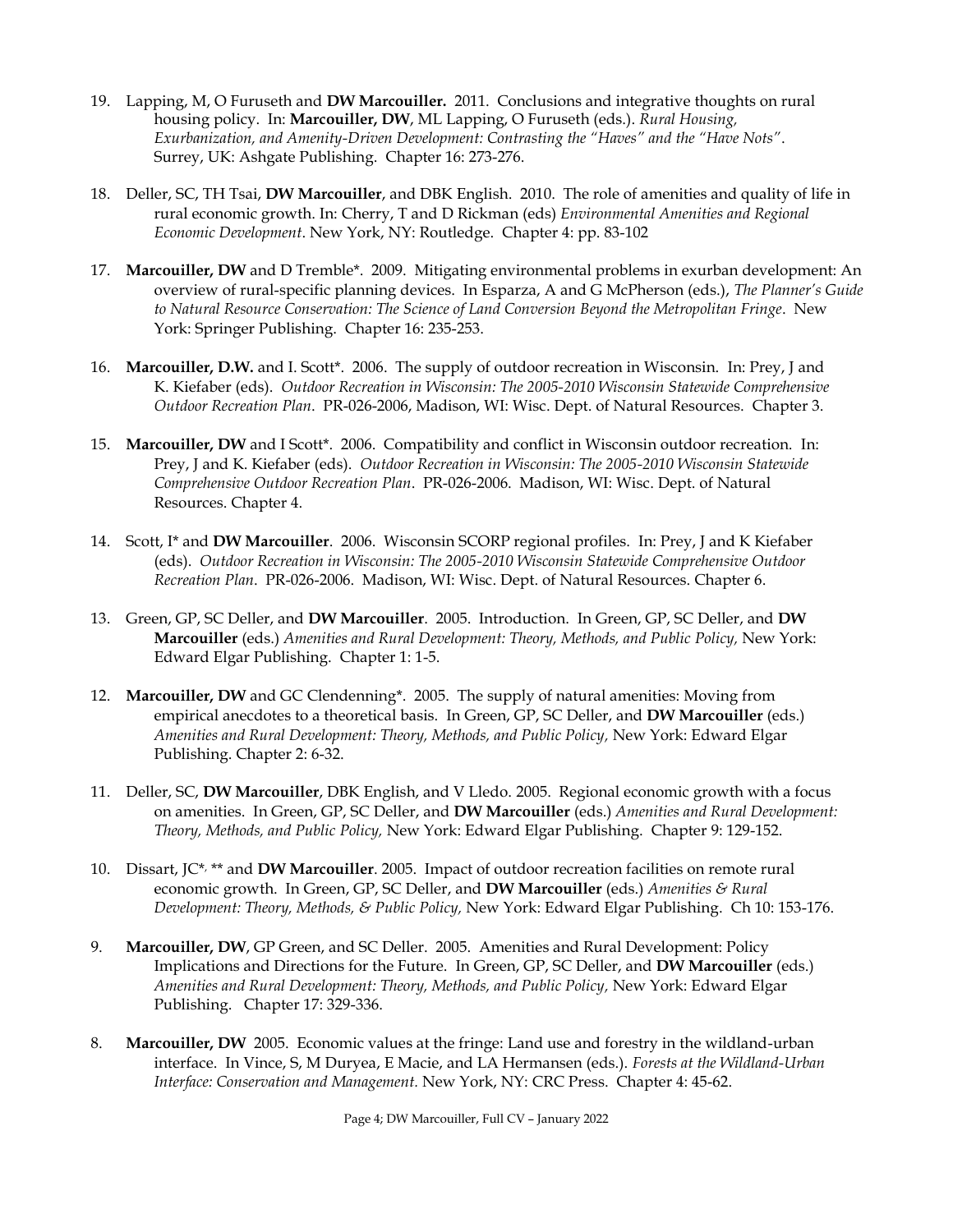- 19. Lapping, M, O Furuseth and **DW Marcouiller.** 2011. Conclusions and integrative thoughts on rural housing policy. In: **Marcouiller, DW**, ML Lapping, O Furuseth (eds.). *Rural Housing, Exurbanization, and Amenity-Driven Development: Contrasting the "Haves" and the "Have Nots"*. Surrey, UK: Ashgate Publishing. Chapter 16: 273-276.
- 18. Deller, SC, TH Tsai, **DW Marcouiller**, and DBK English. 2010. The role of amenities and quality of life in rural economic growth. In: Cherry, T and D Rickman (eds) *Environmental Amenities and Regional Economic Development*. New York, NY: Routledge. Chapter 4: pp. 83-102
- 17. **Marcouiller, DW** and D Tremble\*. 2009. Mitigating environmental problems in exurban development: An overview of rural-specific planning devices. In Esparza, A and G McPherson (eds.), *The Planner's Guide to Natural Resource Conservation: The Science of Land Conversion Beyond the Metropolitan Fringe*. New York: Springer Publishing. Chapter 16: 235-253.
- 16. **Marcouiller, D.W.** and I. Scott\*. 2006. The supply of outdoor recreation in Wisconsin. In: Prey, J and K. Kiefaber (eds). *Outdoor Recreation in Wisconsin: The 2005-2010 Wisconsin Statewide Comprehensive Outdoor Recreation Plan*. PR-026-2006, Madison, WI: Wisc. Dept. of Natural Resources. Chapter 3.
- 15. **Marcouiller, DW** and I Scott\*. 2006. Compatibility and conflict in Wisconsin outdoor recreation. In: Prey, J and K. Kiefaber (eds). *Outdoor Recreation in Wisconsin: The 2005-2010 Wisconsin Statewide Comprehensive Outdoor Recreation Plan*. PR-026-2006. Madison, WI: Wisc. Dept. of Natural Resources. Chapter 4.
- 14. Scott, I\* and **DW Marcouiller**. 2006. Wisconsin SCORP regional profiles. In: Prey, J and K Kiefaber (eds). *Outdoor Recreation in Wisconsin: The 2005-2010 Wisconsin Statewide Comprehensive Outdoor Recreation Plan*. PR-026-2006. Madison, WI: Wisc. Dept. of Natural Resources. Chapter 6.
- 13. Green, GP, SC Deller, and **DW Marcouiller**. 2005. Introduction. In Green, GP, SC Deller, and **DW Marcouiller** (eds.) *Amenities and Rural Development: Theory, Methods, and Public Policy,* New York: Edward Elgar Publishing. Chapter 1: 1-5.
- 12. **Marcouiller, DW** and GC Clendenning\*. 2005. The supply of natural amenities: Moving from empirical anecdotes to a theoretical basis. In Green, GP, SC Deller, and **DW Marcouiller** (eds.) *Amenities and Rural Development: Theory, Methods, and Public Policy,* New York: Edward Elgar Publishing. Chapter 2: 6-32.
- 11. Deller, SC, **DW Marcouiller**, DBK English, and V Lledo. 2005. Regional economic growth with a focus on amenities. In Green, GP, SC Deller, and **DW Marcouiller** (eds.) *Amenities and Rural Development: Theory, Methods, and Public Policy,* New York: Edward Elgar Publishing. Chapter 9: 129-152.
- 10. Dissart, JC\* , \*\* and **DW Marcouiller**. 2005. Impact of outdoor recreation facilities on remote rural economic growth. In Green, GP, SC Deller, and **DW Marcouiller** (eds.) *Amenities & Rural Development: Theory, Methods, & Public Policy,* New York: Edward Elgar Publishing. Ch 10: 153-176.
- 9. **Marcouiller, DW**, GP Green, and SC Deller. 2005. Amenities and Rural Development: Policy Implications and Directions for the Future. In Green, GP, SC Deller, and **DW Marcouiller** (eds.) *Amenities and Rural Development: Theory, Methods, and Public Policy,* New York: Edward Elgar Publishing. Chapter 17: 329-336.
- 8. **Marcouiller, DW** 2005. Economic values at the fringe: Land use and forestry in the wildland-urban interface. In Vince, S, M Duryea, E Macie, and LA Hermansen (eds.). *Forests at the Wildland-Urban Interface: Conservation and Management.* New York, NY: CRC Press. Chapter 4: 45-62.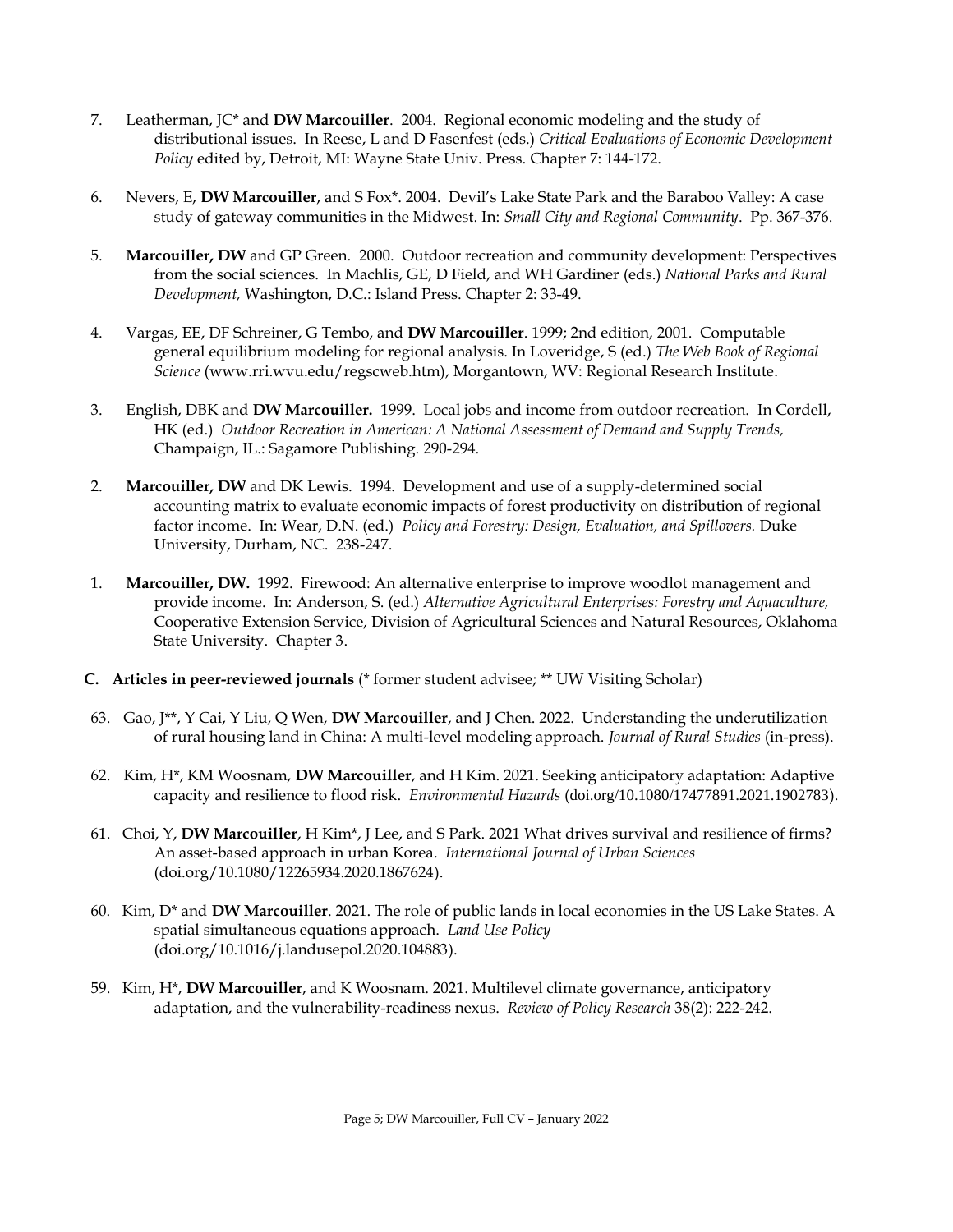- 7. Leatherman, JC\* and **DW Marcouiller**. 2004. Regional economic modeling and the study of distributional issues. In Reese, L and D Fasenfest (eds.) *Critical Evaluations of Economic Development Policy* edited by, Detroit, MI: Wayne State Univ. Press. Chapter 7: 144-172.
- 6. Nevers, E, **DW Marcouiller**, and S Fox\*. 2004. Devil's Lake State Park and the Baraboo Valley: A case study of gateway communities in the Midwest. In: *Small City and Regional Community*. Pp. 367-376.
- 5. **Marcouiller, DW** and GP Green. 2000. Outdoor recreation and community development: Perspectives from the social sciences. In Machlis, GE, D Field, and WH Gardiner (eds.) *National Parks and Rural Development,* Washington, D.C.: Island Press. Chapter 2: 33-49.
- 4. Vargas, EE, DF Schreiner, G Tembo, and **DW Marcouiller**. 1999; 2nd edition, 2001. Computable general equilibrium modeling for regional analysis. In Loveridge, S (ed.) *The Web Book of Regional Science* (www.rri.wvu.edu/regscweb.htm), Morgantown, WV: Regional Research Institute.
- 3. English, DBK and **DW Marcouiller.** 1999. Local jobs and income from outdoor recreation. In Cordell, HK (ed.) *Outdoor Recreation in American: A National Assessment of Demand and Supply Trends,*  Champaign, IL.: Sagamore Publishing. 290-294.
- 2. **Marcouiller, DW** and DK Lewis. 1994. Development and use of a supply-determined social accounting matrix to evaluate economic impacts of forest productivity on distribution of regional factor income. In: Wear, D.N. (ed.) *Policy and Forestry: Design, Evaluation, and Spillovers.* Duke University, Durham, NC. 238-247.
- 1. **Marcouiller, DW.** 1992. Firewood: An alternative enterprise to improve woodlot management and provide income. In: Anderson, S. (ed.) *Alternative Agricultural Enterprises: Forestry and Aquaculture,* Cooperative Extension Service, Division of Agricultural Sciences and Natural Resources, Oklahoma State University. Chapter 3.
- **C. Articles in peer-reviewed journals** (\* former student advisee; \*\* UW Visiting Scholar)
- 63. Gao, J\*\*, Y Cai, Y Liu, Q Wen, **DW Marcouiller**, and J Chen. 2022. Understanding the underutilization of rural housing land in China: A multi-level modeling approach. *Journal of Rural Studies* (in-press).
- 62. Kim, H\*, KM Woosnam, **DW Marcouiller**, and H Kim. 2021. Seeking anticipatory adaptation: Adaptive capacity and resilience to flood risk. *Environmental Hazards* (doi.org/10.1080/17477891.2021.1902783).
- 61. Choi, Y, **DW Marcouiller**, H Kim\*, J Lee, and S Park. 2021 What drives survival and resilience of firms? An asset-based approach in urban Korea. *International Journal of Urban Sciences* (doi.org/10.1080/12265934.2020.1867624).
- 60. Kim, D\* and **DW Marcouiller**. 2021. The role of public lands in local economies in the US Lake States. A spatial simultaneous equations approach. *Land Use Policy* [\(doi.org/10.1016/j.landusepol.2020.104883\)](https://doi-org.ezproxy.library.wisc.edu/10.1016/j.landusepol.2020.104883).
- 59. Kim, H\*, **DW Marcouiller**, and K Woosnam. 2021. Multilevel climate governance, anticipatory adaptation, and the vulnerability-readiness nexus. *Review of Policy Research* 38(2): 222-242.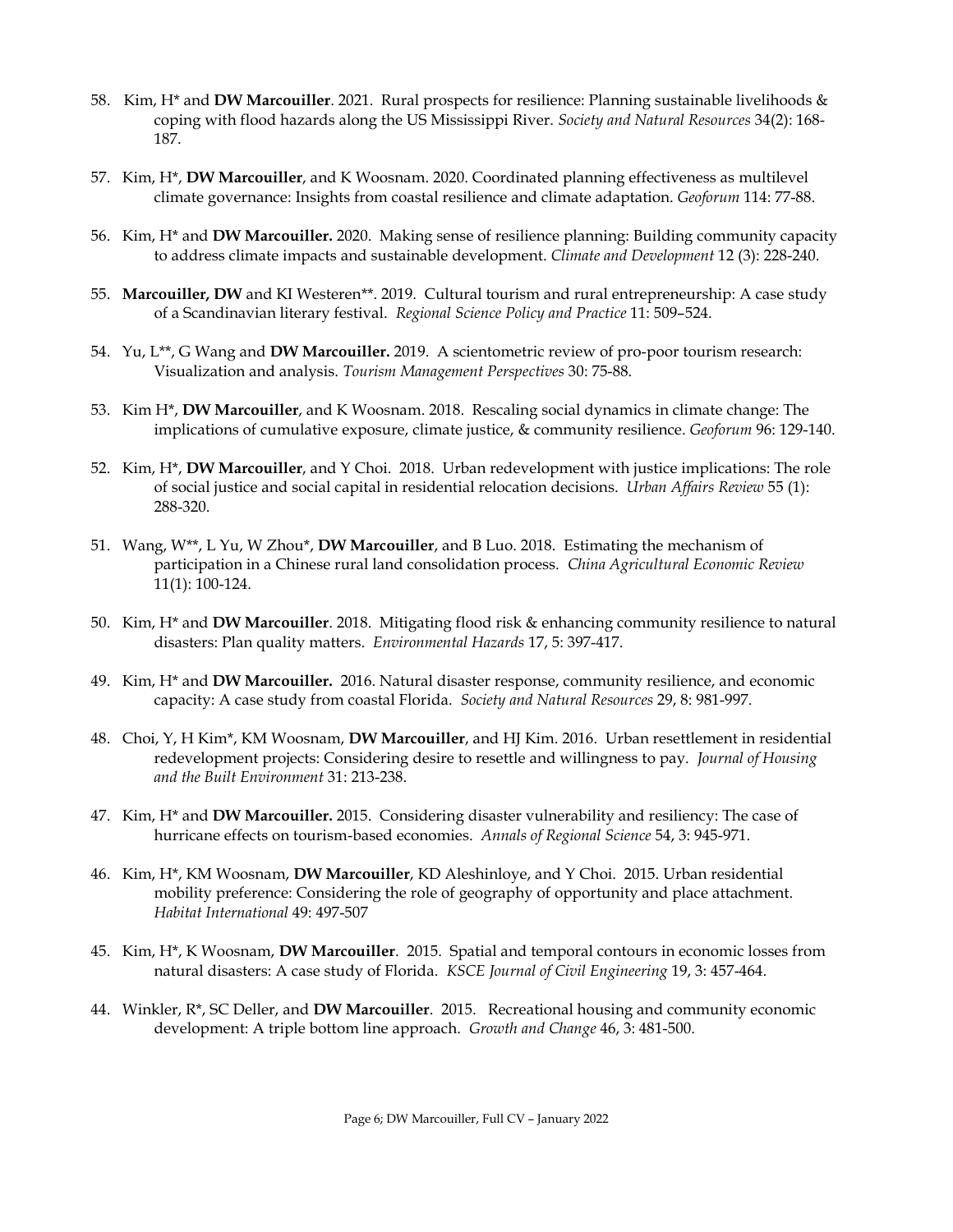- 58. Kim, H\* and **DW Marcouiller**. 2021. Rural prospects for resilience: Planning sustainable livelihoods & coping with flood hazards along the US Mississippi River. *Society and Natural Resources* 34(2): 168- 187.
- 57. Kim, H\*, **DW Marcouiller**, and K Woosnam. 2020. Coordinated planning effectiveness as multilevel climate governance: Insights from coastal resilience and climate adaptation. *Geoforum* 114: 77-88.
- 56. Kim, H\* and **DW Marcouiller.** 2020. Making sense of resilience planning: Building community capacity to address climate impacts and sustainable development. *Climate and Development* 12 (3): 228-240.
- 55. **Marcouiller, DW** and KI Westeren\*\*. 2019. Cultural tourism and rural entrepreneurship: A case study of a Scandinavian literary festival. *Regional Science Policy and Practice* 11: 509–524.
- 54. Yu, L\*\*, G Wang and **DW Marcouiller.** 2019. A scientometric review of pro-poor tourism research: Visualization and analysis. *Tourism Management Perspectives* 30: 75-88.
- 53. Kim H\*, **DW Marcouiller**, and K Woosnam. 2018. Rescaling social dynamics in climate change: The implications of cumulative exposure, climate justice, & community resilience. *Geoforum* 96: 129-140.
- 52. Kim, H\*, **DW Marcouiller**, and Y Choi. 2018. Urban redevelopment with justice implications: The role of social justice and social capital in residential relocation decisions. *Urban Affairs Review* 55 (1): 288-320.
- 51. Wang, W\*\*, L Yu, W Zhou\*, **DW Marcouiller**, and B Luo. 2018. Estimating the mechanism of participation in a Chinese rural land consolidation process. *China Agricultural Economic Review* 11(1): 100-124.
- 50. Kim, H\* and **DW Marcouiller**. 2018. Mitigating flood risk & enhancing community resilience to natural disasters: Plan quality matters. *Environmental Hazards* 17, 5: 397-417.
- 49. Kim, H\* and **DW Marcouiller.** 2016. Natural disaster response, community resilience, and economic capacity: A case study from coastal Florida. *Society and Natural Resources* 29, 8: 981-997.
- 48. Choi, Y, H Kim\*, KM Woosnam, **DW Marcouiller**, and HJ Kim. 2016. Urban resettlement in residential redevelopment projects: Considering desire to resettle and willingness to pay. *Journal of Housing and the Built Environment* 31: 213-238.
- 47. Kim, H\* and **DW Marcouiller.** 2015. Considering disaster vulnerability and resiliency: The case of hurricane effects on tourism-based economies. *Annals of Regional Science* 54, 3: 945-971.
- 46. Kim, H\*, KM Woosnam, **DW Marcouiller**, KD Aleshinloye, and Y Choi. 2015. Urban residential mobility preference: Considering the role of geography of opportunity and place attachment. *Habitat International* 49: 497-507
- 45. Kim, H\*, K Woosnam, **DW Marcouiller**. 2015. Spatial and temporal contours in economic losses from natural disasters: A case study of Florida. *KSCE Journal of Civil Engineering* 19, 3: 457-464.
- 44. Winkler, R\*, SC Deller, and **DW Marcouiller**. 2015. Recreational housing and community economic development: A triple bottom line approach. *Growth and Change* 46, 3: 481-500.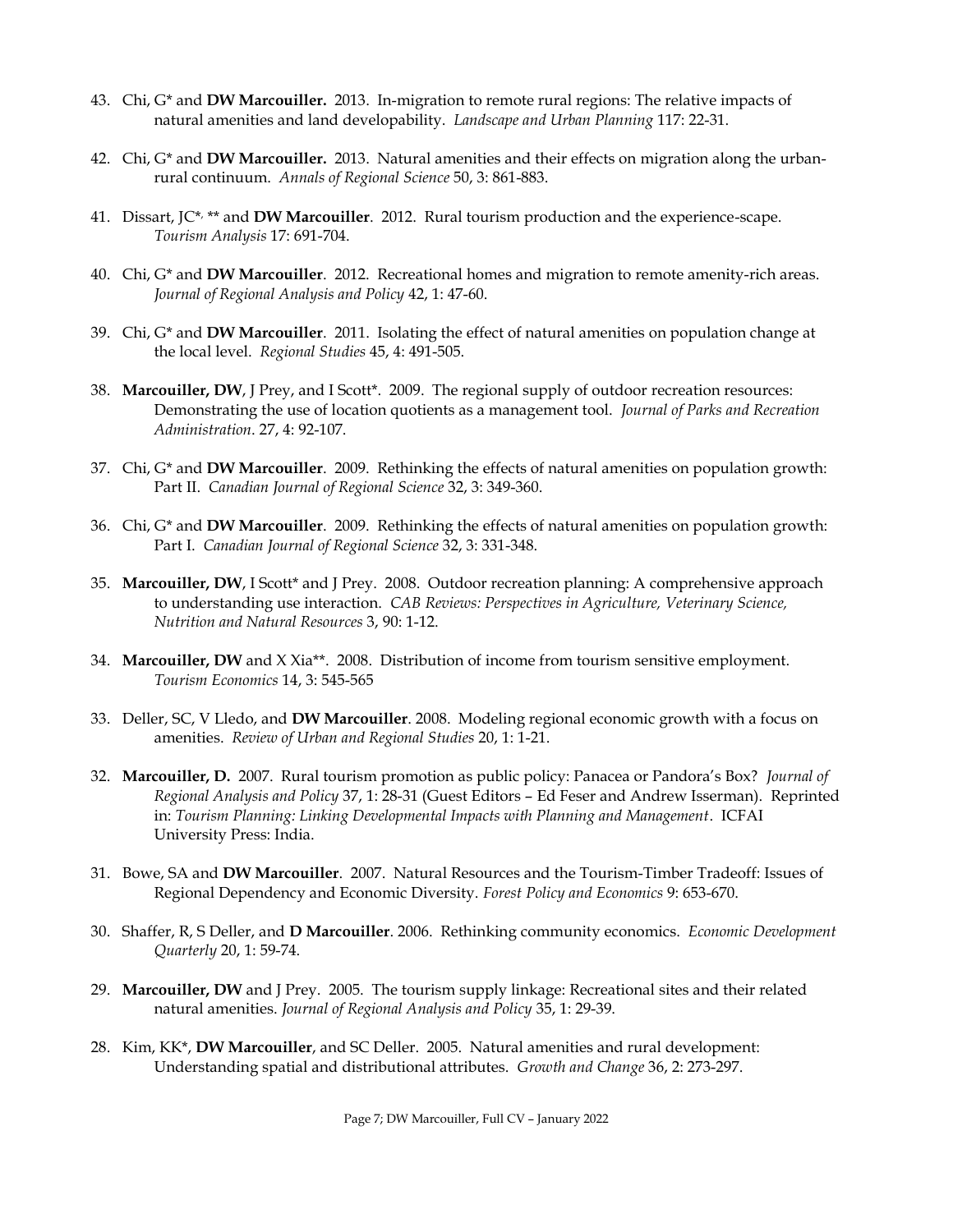- 43. Chi, G\* and **DW Marcouiller.** 2013. In-migration to remote rural regions: The relative impacts of natural amenities and land developability. *Landscape and Urban Planning* 117: 22-31.
- 42. Chi, G\* and **DW Marcouiller.** 2013. Natural amenities and their effects on migration along the urbanrural continuum. *Annals of Regional Science* 50, 3: 861-883.
- 41. Dissart, JC\* , \*\* and **DW Marcouiller**. 2012. Rural tourism production and the experience-scape. *Tourism Analysis* 17: 691-704.
- 40. Chi, G\* and **DW Marcouiller**. 2012. Recreational homes and migration to remote amenity-rich areas. *Journal of Regional Analysis and Policy* 42, 1: 47-60.
- 39. Chi, G\* and **DW Marcouiller**. 2011. Isolating the effect of natural amenities on population change at the local level. *Regional Studies* 45, 4: 491-505.
- 38. **Marcouiller, DW**, J Prey, and I Scott\*. 2009. The regional supply of outdoor recreation resources: Demonstrating the use of location quotients as a management tool. *Journal of Parks and Recreation Administration*. 27, 4: 92-107.
- 37. Chi, G\* and **DW Marcouiller**. 2009. Rethinking the effects of natural amenities on population growth: Part II. *Canadian Journal of Regional Science* 32, 3: 349-360.
- 36. Chi, G\* and **DW Marcouiller**. 2009. Rethinking the effects of natural amenities on population growth: Part I. *Canadian Journal of Regional Science* 32, 3: 331-348.
- 35. **Marcouiller, DW**, I Scott\* and J Prey. 2008. Outdoor recreation planning: A comprehensive approach to understanding use interaction. *CAB Reviews: Perspectives in Agriculture, Veterinary Science, Nutrition and Natural Resources* 3, 90: 1-12.
- 34. **Marcouiller, DW** and X Xia\*\*. 2008. Distribution of income from tourism sensitive employment. *Tourism Economics* 14, 3: 545-565
- 33. Deller, SC, V Lledo, and **DW Marcouiller**. 2008. Modeling regional economic growth with a focus on amenities. *Review of Urban and Regional Studies* 20, 1: 1-21.
- 32. **Marcouiller, D.** 2007. Rural tourism promotion as public policy: Panacea or Pandora's Box? *Journal of Regional Analysis and Policy* 37, 1: 28-31 (Guest Editors – Ed Feser and Andrew Isserman). Reprinted in: *Tourism Planning: Linking Developmental Impacts with Planning and Management*. ICFAI University Press: India.
- 31. Bowe, SA and **DW Marcouiller**. 2007. Natural Resources and the Tourism-Timber Tradeoff: Issues of Regional Dependency and Economic Diversity. *Forest Policy and Economics* 9: 653-670.
- 30. Shaffer, R, S Deller, and **D Marcouiller**. 2006. Rethinking community economics. *Economic Development Quarterly* 20, 1: 59-74.
- 29. **Marcouiller, DW** and J Prey. 2005. The tourism supply linkage: Recreational sites and their related natural amenities. *Journal of Regional Analysis and Policy* 35, 1: 29-39.
- 28. Kim, KK\*, **DW Marcouiller**, and SC Deller. 2005. Natural amenities and rural development: Understanding spatial and distributional attributes. *Growth and Change* 36, 2: 273-297.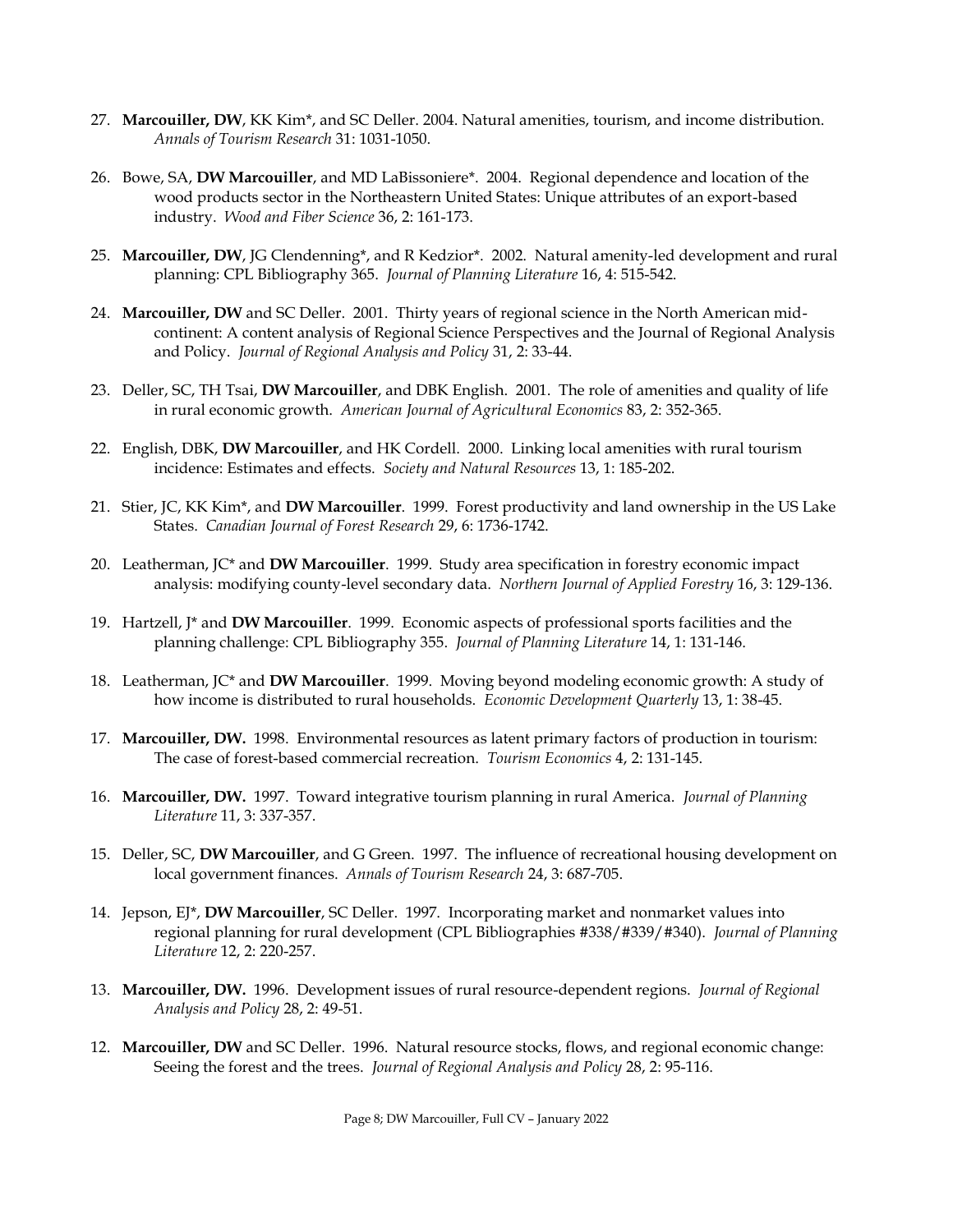- 27. **Marcouiller, DW**, KK Kim\*, and SC Deller. 2004. Natural amenities, tourism, and income distribution. *Annals of Tourism Research* 31: 1031-1050.
- 26. Bowe, SA, **DW Marcouiller**, and MD LaBissoniere\*. 2004. Regional dependence and location of the wood products sector in the Northeastern United States: Unique attributes of an export-based industry. *Wood and Fiber Science* 36, 2: 161-173.
- 25. **Marcouiller, DW**, JG Clendenning\*, and R Kedzior\*. 2002. Natural amenity-led development and rural planning: CPL Bibliography 365. *Journal of Planning Literature* 16, 4: 515-542.
- 24. **Marcouiller, DW** and SC Deller. 2001. Thirty years of regional science in the North American midcontinent: A content analysis of Regional Science Perspectives and the Journal of Regional Analysis and Policy. *Journal of Regional Analysis and Policy* 31, 2: 33-44.
- 23. Deller, SC, TH Tsai, **DW Marcouiller**, and DBK English. 2001. The role of amenities and quality of life in rural economic growth. *American Journal of Agricultural Economics* 83, 2: 352-365.
- 22. English, DBK, **DW Marcouiller**, and HK Cordell. 2000. Linking local amenities with rural tourism incidence: Estimates and effects. *Society and Natural Resources* 13, 1: 185-202.
- 21. Stier, JC, KK Kim\*, and **DW Marcouiller**. 1999. Forest productivity and land ownership in the US Lake States. *Canadian Journal of Forest Research* 29, 6: 1736-1742.
- 20. Leatherman, JC\* and **DW Marcouiller**. 1999. Study area specification in forestry economic impact analysis: modifying county-level secondary data. *Northern Journal of Applied Forestry* 16, 3: 129-136.
- 19. Hartzell, J\* and **DW Marcouiller**. 1999. Economic aspects of professional sports facilities and the planning challenge: CPL Bibliography 355. *Journal of Planning Literature* 14, 1: 131-146.
- 18. Leatherman, JC\* and **DW Marcouiller**. 1999. Moving beyond modeling economic growth: A study of how income is distributed to rural households. *Economic Development Quarterly* 13, 1: 38-45.
- 17. **Marcouiller, DW.** 1998. Environmental resources as latent primary factors of production in tourism: The case of forest-based commercial recreation. *Tourism Economics* 4, 2: 131-145.
- 16. **Marcouiller, DW.** 1997. Toward integrative tourism planning in rural America. *Journal of Planning Literature* 11, 3: 337-357.
- 15. Deller, SC, **DW Marcouiller**, and G Green. 1997. The influence of recreational housing development on local government finances. *Annals of Tourism Research* 24, 3: 687-705.
- 14. Jepson, EJ\*, **DW Marcouiller**, SC Deller. 1997. Incorporating market and nonmarket values into regional planning for rural development (CPL Bibliographies #338/#339/#340). *Journal of Planning Literature* 12, 2: 220-257.
- 13. **Marcouiller, DW.** 1996. Development issues of rural resource-dependent regions. *Journal of Regional Analysis and Policy* 28, 2: 49-51.
- 12. **Marcouiller, DW** and SC Deller. 1996. Natural resource stocks, flows, and regional economic change: Seeing the forest and the trees. *Journal of Regional Analysis and Policy* 28, 2: 95-116.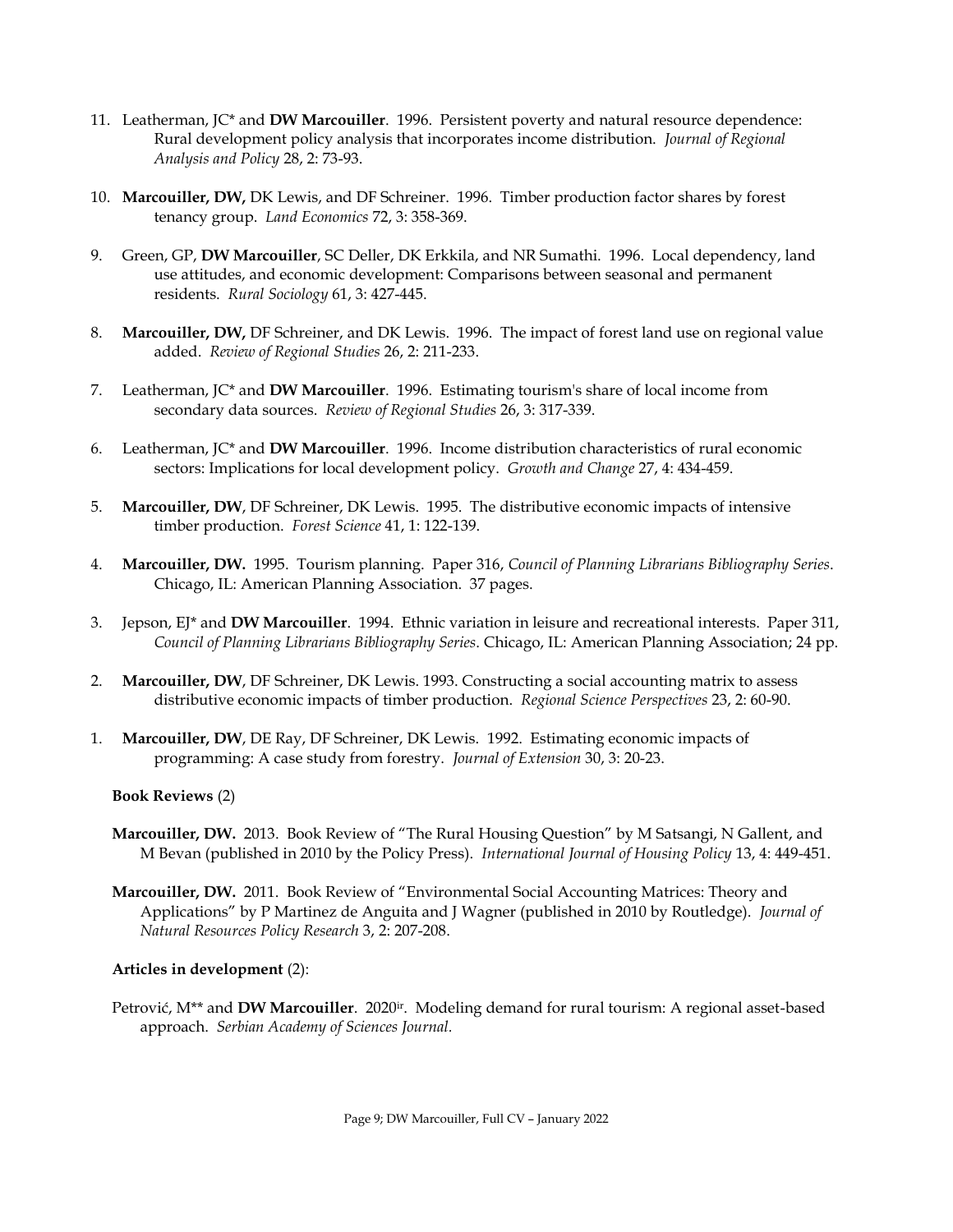- 11. Leatherman, JC\* and **DW Marcouiller**. 1996. Persistent poverty and natural resource dependence: Rural development policy analysis that incorporates income distribution. *Journal of Regional Analysis and Policy* 28, 2: 73-93.
- 10. **Marcouiller, DW,** DK Lewis, and DF Schreiner. 1996. Timber production factor shares by forest tenancy group. *Land Economics* 72, 3: 358-369.
- 9. Green, GP, **DW Marcouiller**, SC Deller, DK Erkkila, and NR Sumathi. 1996. Local dependency, land use attitudes, and economic development: Comparisons between seasonal and permanent residents. *Rural Sociology* 61, 3: 427-445.
- 8. **Marcouiller, DW,** DF Schreiner, and DK Lewis. 1996. The impact of forest land use on regional value added. *Review of Regional Studies* 26, 2: 211-233.
- 7. Leatherman, JC\* and **DW Marcouiller**. 1996. Estimating tourism's share of local income from secondary data sources. *Review of Regional Studies* 26, 3: 317-339.
- 6. Leatherman, JC\* and **DW Marcouiller**. 1996. Income distribution characteristics of rural economic sectors: Implications for local development policy. *Growth and Change* 27, 4: 434-459.
- 5. **Marcouiller, DW**, DF Schreiner, DK Lewis. 1995. The distributive economic impacts of intensive timber production. *Forest Science* 41, 1: 122-139.
- 4. **Marcouiller, DW.** 1995. Tourism planning. Paper 316, *Council of Planning Librarians Bibliography Series*. Chicago, IL: American Planning Association. 37 pages.
- 3. Jepson, EJ\* and **DW Marcouiller**. 1994. Ethnic variation in leisure and recreational interests. Paper 311, *Council of Planning Librarians Bibliography Series*. Chicago, IL: American Planning Association; 24 pp.
- 2. **Marcouiller, DW**, DF Schreiner, DK Lewis. 1993. Constructing a social accounting matrix to assess distributive economic impacts of timber production. *Regional Science Perspectives* 23, 2: 60-90.
- 1. **Marcouiller, DW**, DE Ray, DF Schreiner, DK Lewis. 1992. Estimating economic impacts of programming: A case study from forestry. *Journal of Extension* 30, 3: 20-23.

#### **Book Reviews** (2)

- **Marcouiller, DW.** 2013. Book Review of "The Rural Housing Question" by M Satsangi, N Gallent, and M Bevan (published in 2010 by the Policy Press). *International Journal of Housing Policy* 13, 4: 449-451.
- **Marcouiller, DW.** 2011. Book Review of "Environmental Social Accounting Matrices: Theory and Applications" by P Martinez de Anguita and J Wagner (published in 2010 by Routledge). *Journal of Natural Resources Policy Research* 3, 2: 207-208.

#### **Articles in development** (2):

Petrović, M\*\* and **DW Marcouiller**. 2020ir. Modeling demand for rural tourism: A regional asset-based approach. *Serbian Academy of Sciences Journal.*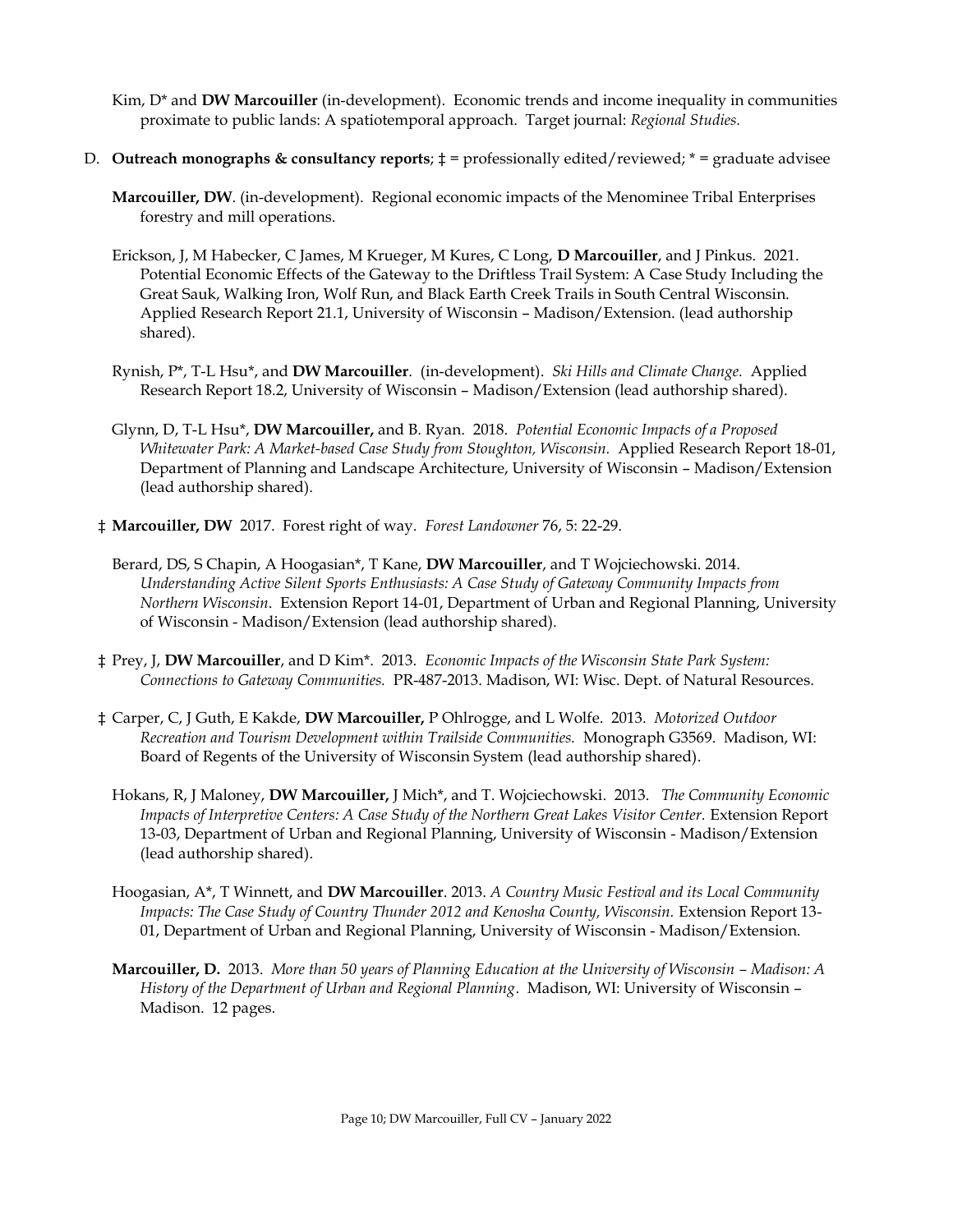- Kim, D\* and **DW Marcouiller** (in-development). Economic trends and income inequality in communities proximate to public lands: A spatiotemporal approach. Target journal: *Regional Studies.*
- D. **Outreach monographs & consultancy reports**; ‡ = professionally edited/reviewed; \* = graduate advisee
	- **Marcouiller, DW**. (in-development). Regional economic impacts of the Menominee Tribal Enterprises forestry and mill operations.
	- Erickson, J, M Habecker, C James, M Krueger, M Kures, C Long, **D Marcouiller**, and J Pinkus. 2021. Potential Economic Effects of the Gateway to the Driftless Trail System: A Case Study Including the Great Sauk, Walking Iron, Wolf Run, and Black Earth Creek Trails in South Central Wisconsin. Applied Research Report 21.1, University of Wisconsin – Madison/Extension. (lead authorship shared).
	- Rynish, P\*, T-L Hsu\*, and **DW Marcouiller**. (in-development). *Ski Hills and Climate Change.* Applied Research Report 18.2, University of Wisconsin – Madison/Extension (lead authorship shared).
	- Glynn, D, T-L Hsu\*, **DW Marcouiller,** and B. Ryan. 2018. *Potential Economic Impacts of a Proposed Whitewater Park: A Market-based Case Study from Stoughton, Wisconsin.* Applied Research Report 18-01, Department of Planning and Landscape Architecture, University of Wisconsin – Madison/Extension (lead authorship shared).
	- ‡ **Marcouiller, DW** 2017. Forest right of way. *Forest Landowner* 76, 5: 22-29.
		- Berard, DS, S Chapin, A Hoogasian\*, T Kane, **DW Marcouiller**, and T Wojciechowski. 2014. *Understanding Active Silent Sports Enthusiasts: A Case Study of Gateway Community Impacts from Northern Wisconsin*. Extension Report 14-01, Department of Urban and Regional Planning, University of Wisconsin - Madison/Extension (lead authorship shared).
	- ‡ Prey, J, **DW Marcouiller**, and D Kim\*. 2013. *Economic Impacts of the Wisconsin State Park System: Connections to Gateway Communities.* PR-487-2013. Madison, WI: Wisc. Dept. of Natural Resources.
	- ‡ Carper, C, J Guth, E Kakde, **DW Marcouiller,** P Ohlrogge, and L Wolfe. 2013. *Motorized Outdoor Recreation and Tourism Development within Trailside Communities.* Monograph G3569. Madison, WI: Board of Regents of the University of Wisconsin System (lead authorship shared).
		- Hokans, R, J Maloney, **DW Marcouiller,** J Mich\*, and T. Wojciechowski. 2013. *The Community Economic Impacts of Interpretive Centers: A Case Study of the Northern Great Lakes Visitor Center. Extension Report* 13-03, Department of Urban and Regional Planning, University of Wisconsin - Madison/Extension (lead authorship shared).
		- Hoogasian, A\*, T Winnett, and **DW Marcouiller**. 2013. *A Country Music Festival and its Local Community Impacts: The Case Study of Country Thunder 2012 and Kenosha County, Wisconsin.* Extension Report 13- 01, Department of Urban and Regional Planning, University of Wisconsin - Madison/Extension.
		- **Marcouiller, D.** 2013. More than 50 years of Planning Education at the University of Wisconsin Madison: A *History of the Department of Urban and Regional Planning*. Madison, WI: University of Wisconsin – Madison. 12 pages.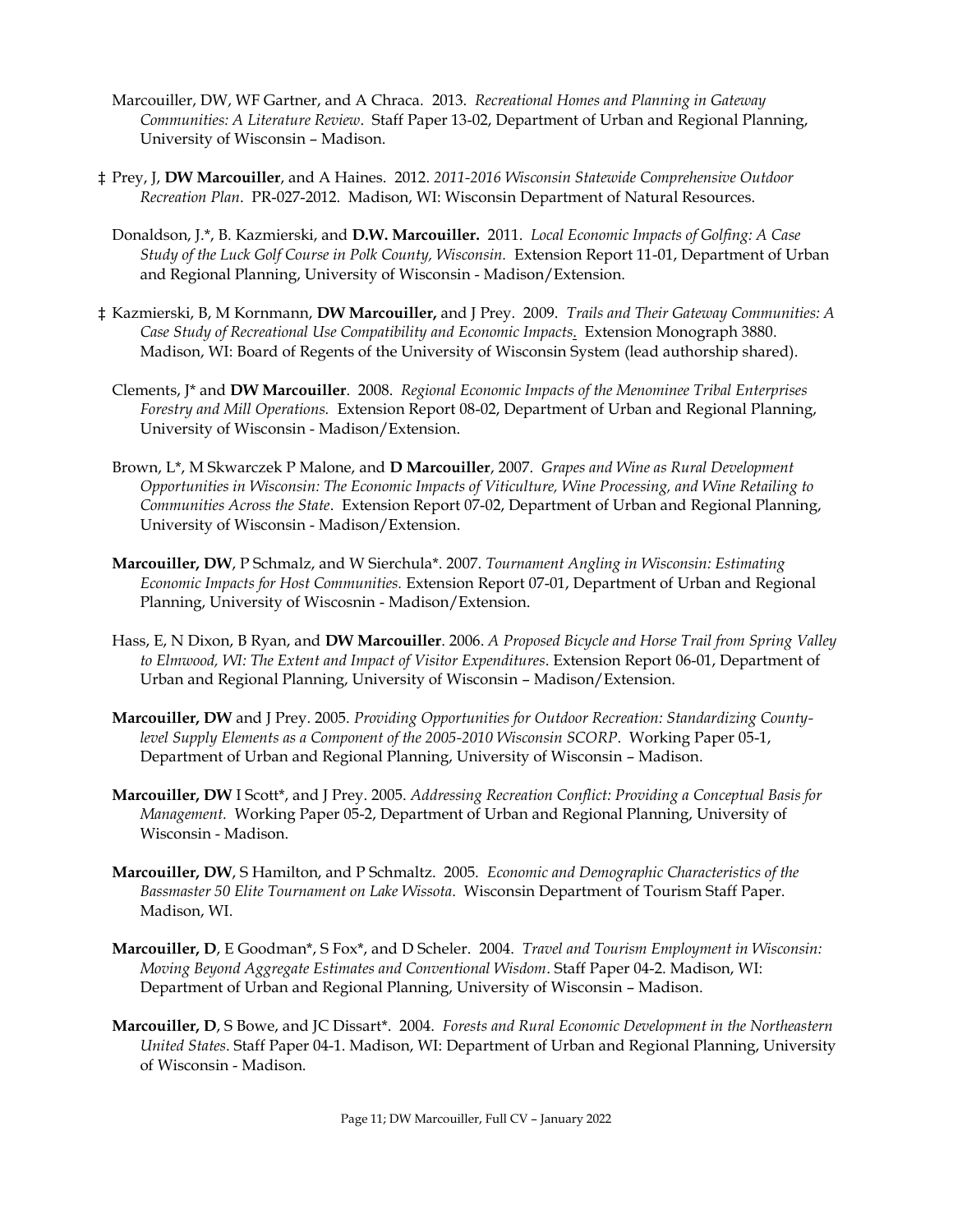- Marcouiller, DW, WF Gartner, and A Chraca. 2013. *Recreational Homes and Planning in Gateway Communities: A Literature Review*. Staff Paper 13-02, Department of Urban and Regional Planning, University of Wisconsin – Madison.
- ‡ Prey, J, **DW Marcouiller**, and A Haines. 2012. *2011-2016 Wisconsin Statewide Comprehensive Outdoor Recreation Plan*. PR-027-2012. Madison, WI: Wisconsin Department of Natural Resources.
	- Donaldson, J.\*, B. Kazmierski, and **D.W. Marcouiller.** 2011. *Local Economic Impacts of Golfing: A Case Study of the Luck Golf Course in Polk County, Wisconsin.* Extension Report 11-01, Department of Urban and Regional Planning, University of Wisconsin - Madison/Extension.
- ‡ Kazmierski, B, M Kornmann, **DW Marcouiller,** and J Prey. 2009. *Trails and Their Gateway Communities: A Case Study of Recreational Use Compatibility and Economic Impacts*. Extension Monograph 3880. Madison, WI: Board of Regents of the University of Wisconsin System (lead authorship shared).
	- Clements, J\* and **DW Marcouiller**. 2008. *Regional Economic Impacts of the Menominee Tribal Enterprises Forestry and Mill Operations.* Extension Report 08-02, Department of Urban and Regional Planning, University of Wisconsin - Madison/Extension.
	- Brown, L\*, M Skwarczek P Malone, and **D Marcouiller**, 2007. *Grapes and Wine as Rural Development Opportunities in Wisconsin: The Economic Impacts of Viticulture, Wine Processing, and Wine Retailing to Communities Across the State*. Extension Report 07-02, Department of Urban and Regional Planning, University of Wisconsin - Madison/Extension.
	- **Marcouiller, DW**, P Schmalz, and W Sierchula\*. 2007. *Tournament Angling in Wisconsin: Estimating Economic Impacts for Host Communities.* Extension Report 07-01, Department of Urban and Regional Planning, University of Wiscosnin - Madison/Extension.
	- Hass, E, N Dixon, B Ryan, and **DW Marcouiller**. 2006. *A Proposed Bicycle and Horse Trail from Spring Valley to Elmwood, WI: The Extent and Impact of Visitor Expenditures*. Extension Report 06-01, Department of Urban and Regional Planning, University of Wisconsin – Madison/Extension.
	- **Marcouiller, DW** and J Prey. 2005. *Providing Opportunities for Outdoor Recreation: Standardizing Countylevel Supply Elements as a Component of the 2005-2010 Wisconsin SCORP*. Working Paper 05-1, Department of Urban and Regional Planning, University of Wisconsin – Madison.
	- **Marcouiller, DW** I Scott\*, and J Prey. 2005. *Addressing Recreation Conflict: Providing a Conceptual Basis for Management.* Working Paper 05-2, Department of Urban and Regional Planning, University of Wisconsin - Madison.
	- **Marcouiller, DW**, S Hamilton, and P Schmaltz. 2005. *Economic and Demographic Characteristics of the Bassmaster 50 Elite Tournament on Lake Wissota*. Wisconsin Department of Tourism Staff Paper. Madison, WI.
	- **Marcouiller, D**, E Goodman\*, S Fox\*, and D Scheler. 2004. *Travel and Tourism Employment in Wisconsin: Moving Beyond Aggregate Estimates and Conventional Wisdom*. Staff Paper 04-2. Madison, WI: Department of Urban and Regional Planning, University of Wisconsin – Madison.
	- **Marcouiller, D**, S Bowe, and JC Dissart\*. 2004. *Forests and Rural Economic Development in the Northeastern United States*. Staff Paper 04-1. Madison, WI: Department of Urban and Regional Planning, University of Wisconsin - Madison.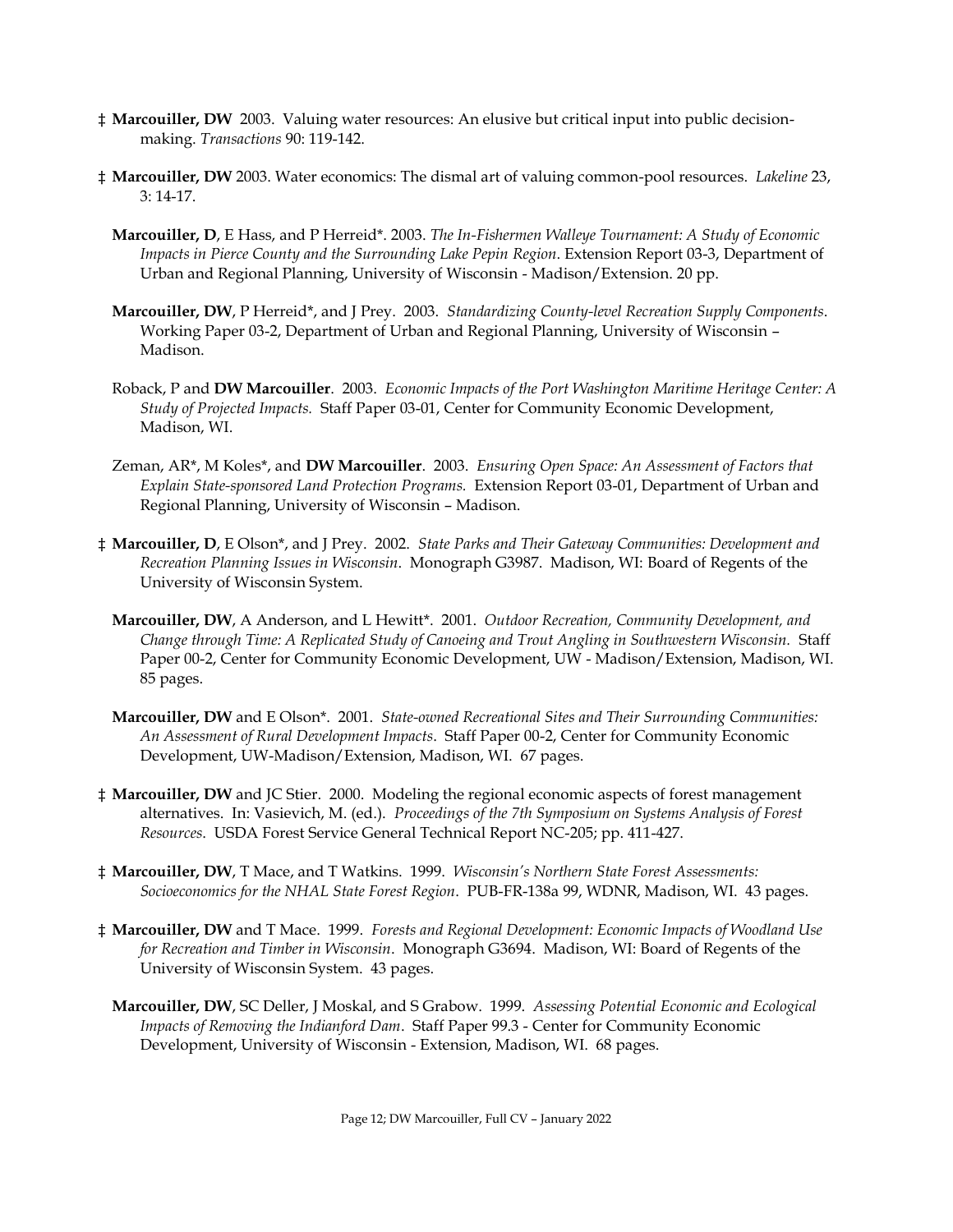- ‡ **Marcouiller, DW** 2003. Valuing water resources: An elusive but critical input into public decisionmaking. *Transactions* 90: 119-142.
- ‡ **Marcouiller, DW** 2003. Water economics: The dismal art of valuing common-pool resources. *Lakeline* 23, 3: 14-17.
	- **Marcouiller, D**, E Hass, and P Herreid\*. 2003. *The In-Fishermen Walleye Tournament: A Study of Economic Impacts in Pierce County and the Surrounding Lake Pepin Region*. Extension Report 03-3, Department of Urban and Regional Planning, University of Wisconsin - Madison/Extension. 20 pp.
	- **Marcouiller, DW**, P Herreid\*, and J Prey. 2003. *Standardizing County-level Recreation Supply Components*. Working Paper 03-2, Department of Urban and Regional Planning, University of Wisconsin – Madison.
	- Roback, P and **DW Marcouiller**. 2003. *Economic Impacts of the Port Washington Maritime Heritage Center: A Study of Projected Impacts.* Staff Paper 03-01, Center for Community Economic Development, Madison, WI.
	- Zeman, AR\*, M Koles\*, and **DW Marcouiller**. 2003. *Ensuring Open Space: An Assessment of Factors that Explain State-sponsored Land Protection Programs.* Extension Report 03-01, Department of Urban and Regional Planning, University of Wisconsin – Madison.
- ‡ **Marcouiller, D**, E Olson\*, and J Prey. 2002. *State Parks and Their Gateway Communities: Development and Recreation Planning Issues in Wisconsin*. Monograph G3987. Madison, WI: Board of Regents of the University of Wisconsin System.
	- **Marcouiller, DW**, A Anderson, and L Hewitt\*. 2001. *Outdoor Recreation, Community Development, and Change through Time: A Replicated Study of Canoeing and Trout Angling in Southwestern Wisconsin.* Staff Paper 00-2, Center for Community Economic Development, UW - Madison/Extension, Madison, WI. 85 pages.
	- **Marcouiller, DW** and E Olson\*. 2001. *State-owned Recreational Sites and Their Surrounding Communities: An Assessment of Rural Development Impacts*. Staff Paper 00-2, Center for Community Economic Development, UW-Madison/Extension, Madison, WI. 67 pages.
- ‡ **Marcouiller, DW** and JC Stier. 2000. Modeling the regional economic aspects of forest management alternatives. In: Vasievich, M. (ed.). *Proceedings of the 7th Symposium on Systems Analysis of Forest Resources*. USDA Forest Service General Technical Report NC-205; pp. 411-427.
- ‡ **Marcouiller, DW**, T Mace, and T Watkins. 1999. *Wisconsin's Northern State Forest Assessments: Socioeconomics for the NHAL State Forest Region*. PUB-FR-138a 99, WDNR, Madison, WI. 43 pages.
- ‡ **Marcouiller, DW** and T Mace. 1999. *Forests and Regional Development: Economic Impacts of Woodland Use for Recreation and Timber in Wisconsin*. Monograph G3694. Madison, WI: Board of Regents of the University of Wisconsin System. 43 pages.
	- **Marcouiller, DW**, SC Deller, J Moskal, and S Grabow. 1999. *Assessing Potential Economic and Ecological Impacts of Removing the Indianford Dam*. Staff Paper 99.3 - Center for Community Economic Development, University of Wisconsin - Extension, Madison, WI. 68 pages.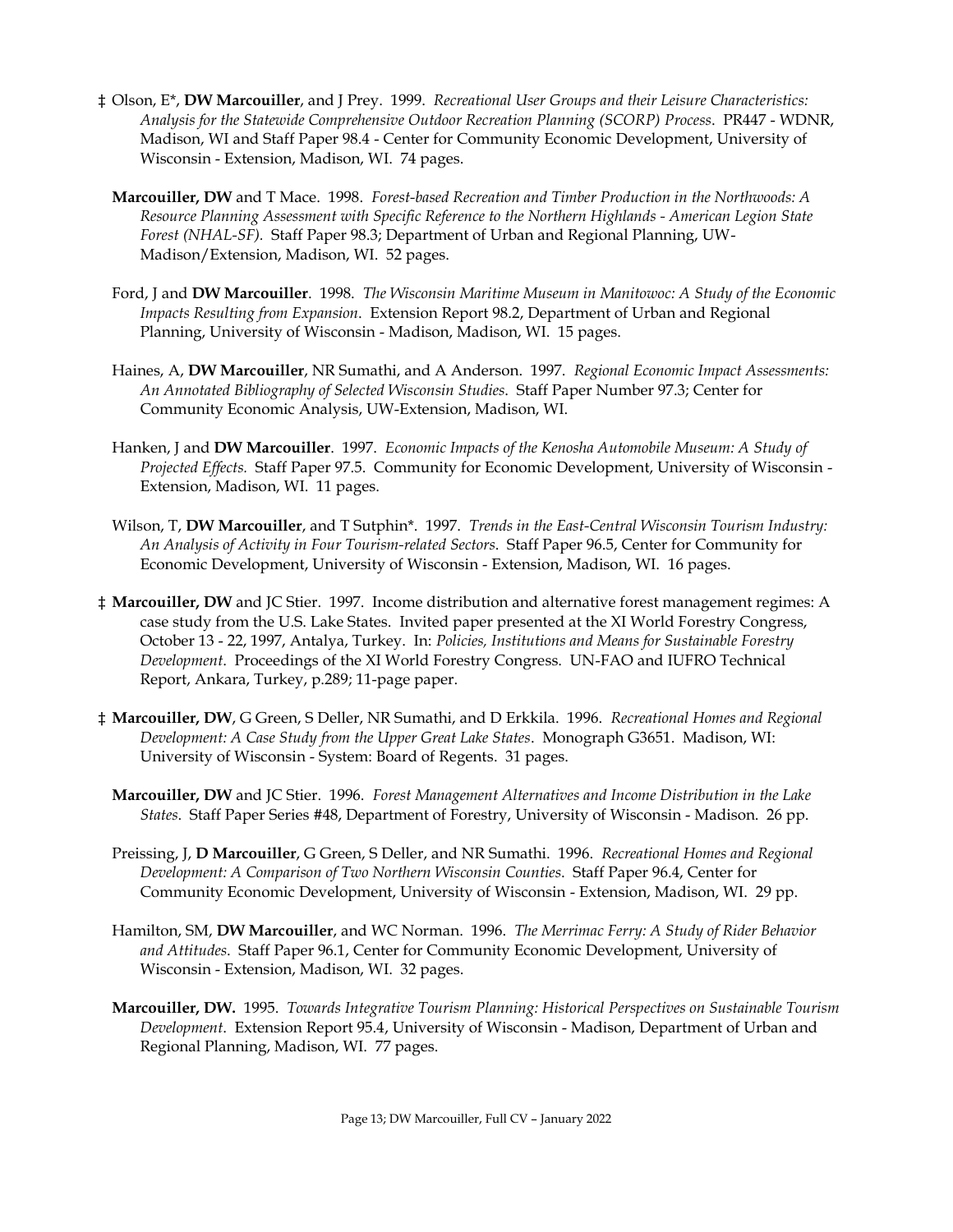- ‡ Olson, E\*, **DW Marcouiller**, and J Prey. 1999. *Recreational User Groups and their Leisure Characteristics: Analysis for the Statewide Comprehensive Outdoor Recreation Planning (SCORP) Process*. PR447 - WDNR, Madison, WI and Staff Paper 98.4 - Center for Community Economic Development, University of Wisconsin - Extension, Madison, WI. 74 pages.
	- **Marcouiller, DW** and T Mace. 1998. *Forest-based Recreation and Timber Production in the Northwoods: A Resource Planning Assessment with Specific Reference to the Northern Highlands - American Legion State Forest (NHAL-SF).* Staff Paper 98.3; Department of Urban and Regional Planning, UW-Madison/Extension, Madison, WI. 52 pages.
	- Ford, J and **DW Marcouiller**. 1998. *The Wisconsin Maritime Museum in Manitowoc: A Study of the Economic Impacts Resulting from Expansion*. Extension Report 98.2, Department of Urban and Regional Planning, University of Wisconsin - Madison, Madison, WI. 15 pages.
	- Haines, A, **DW Marcouiller**, NR Sumathi, and A Anderson. 1997. *Regional Economic Impact Assessments: An Annotated Bibliography of Selected Wisconsin Studies*. Staff Paper Number 97.3; Center for Community Economic Analysis, UW-Extension, Madison, WI.
	- Hanken, J and **DW Marcouiller**. 1997. *Economic Impacts of the Kenosha Automobile Museum: A Study of Projected Effects.* Staff Paper 97.5. Community for Economic Development, University of Wisconsin - Extension, Madison, WI. 11 pages.
	- Wilson, T, **DW Marcouiller**, and T Sutphin\*. 1997. *Trends in the East-Central Wisconsin Tourism Industry: An Analysis of Activity in Four Tourism-related Sectors*. Staff Paper 96.5, Center for Community for Economic Development, University of Wisconsin - Extension, Madison, WI. 16 pages.
- ‡ **Marcouiller, DW** and JC Stier. 1997. Income distribution and alternative forest management regimes: A case study from the U.S. Lake States. Invited paper presented at the XI World Forestry Congress, October 13 - 22, 1997, Antalya, Turkey. In: *Policies, Institutions and Means for Sustainable Forestry Development*. Proceedings of the XI World Forestry Congress. UN-FAO and IUFRO Technical Report, Ankara, Turkey, p.289; 11-page paper.
- ‡ **Marcouiller, DW**, G Green, S Deller, NR Sumathi, and D Erkkila. 1996. *Recreational Homes and Regional Development: A Case Study from the Upper Great Lake States*. Monograph G3651. Madison, WI: University of Wisconsin - System: Board of Regents. 31 pages.
	- **Marcouiller, DW** and JC Stier. 1996. *Forest Management Alternatives and Income Distribution in the Lake States*. Staff Paper Series #48, Department of Forestry, University of Wisconsin - Madison. 26 pp.
	- Preissing, J, **D Marcouiller**, G Green, S Deller, and NR Sumathi. 1996. *Recreational Homes and Regional Development: A Comparison of Two Northern Wisconsin Counties*. Staff Paper 96.4, Center for Community Economic Development, University of Wisconsin - Extension, Madison, WI. 29 pp.
	- Hamilton, SM, **DW Marcouiller**, and WC Norman. 1996. *The Merrimac Ferry: A Study of Rider Behavior and Attitudes*. Staff Paper 96.1, Center for Community Economic Development, University of Wisconsin - Extension, Madison, WI. 32 pages.
	- **Marcouiller, DW.** 1995. *Towards Integrative Tourism Planning: Historical Perspectives on Sustainable Tourism Development*. Extension Report 95.4, University of Wisconsin - Madison, Department of Urban and Regional Planning, Madison, WI. 77 pages.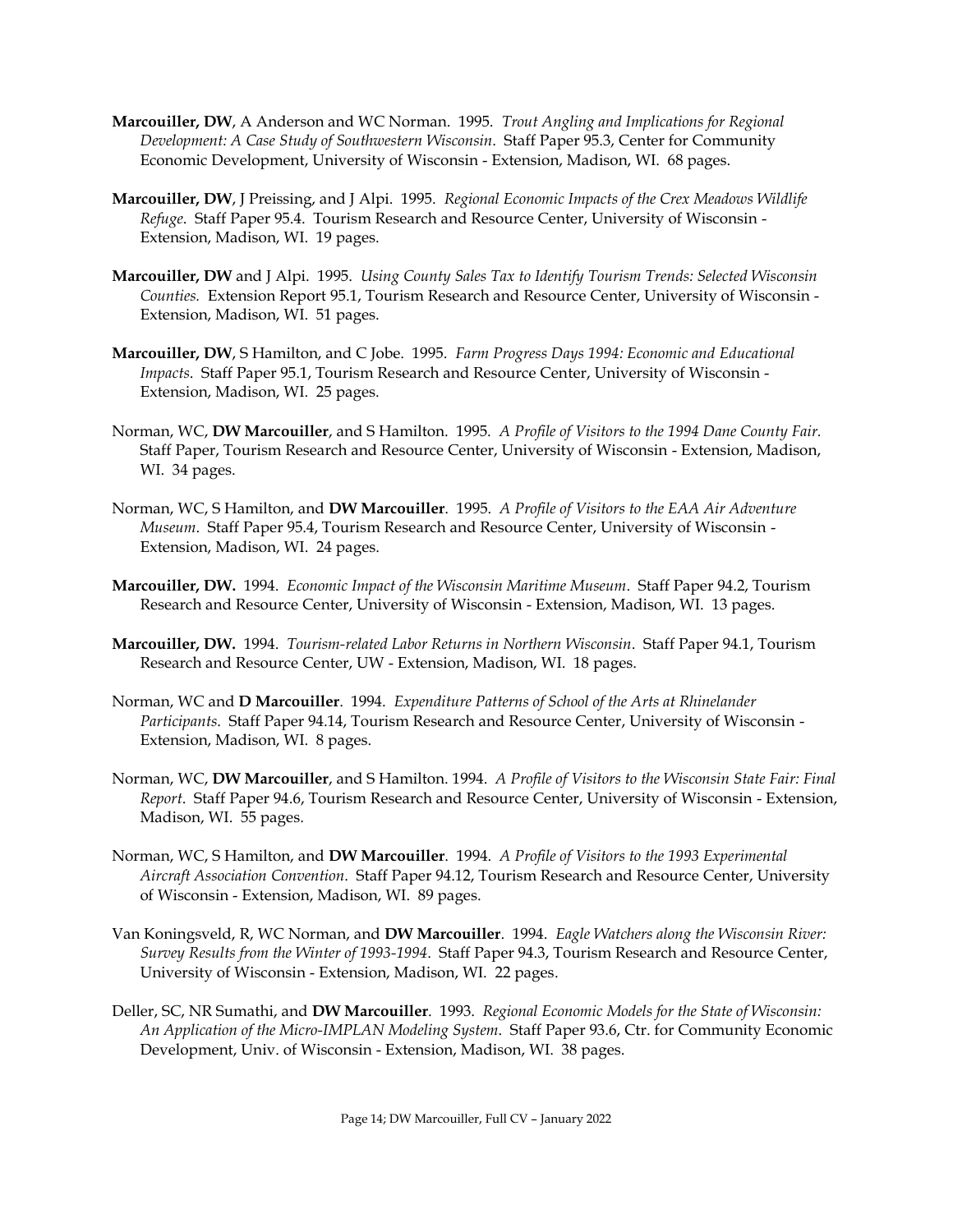- **Marcouiller, DW**, A Anderson and WC Norman. 1995. *Trout Angling and Implications for Regional Development: A Case Study of Southwestern Wisconsin*. Staff Paper 95.3, Center for Community Economic Development, University of Wisconsin - Extension, Madison, WI. 68 pages.
- **Marcouiller, DW**, J Preissing, and J Alpi. 1995. *Regional Economic Impacts of the Crex Meadows Wildlife Refuge*. Staff Paper 95.4. Tourism Research and Resource Center, University of Wisconsin - Extension, Madison, WI. 19 pages.
- **Marcouiller, DW** and J Alpi. 1995. *Using County Sales Tax to Identify Tourism Trends: Selected Wisconsin Counties.* Extension Report 95.1, Tourism Research and Resource Center, University of Wisconsin - Extension, Madison, WI. 51 pages.
- **Marcouiller, DW**, S Hamilton, and C Jobe. 1995. *Farm Progress Days 1994: Economic and Educational Impacts*. Staff Paper 95.1, Tourism Research and Resource Center, University of Wisconsin - Extension, Madison, WI. 25 pages.
- Norman, WC, **DW Marcouiller**, and S Hamilton. 1995. *A Profile of Visitors to the 1994 Dane County Fair.* Staff Paper, Tourism Research and Resource Center, University of Wisconsin - Extension, Madison, WI. 34 pages.
- Norman, WC, S Hamilton, and **DW Marcouiller**. 1995. *A Profile of Visitors to the EAA Air Adventure Museum*. Staff Paper 95.4, Tourism Research and Resource Center, University of Wisconsin - Extension, Madison, WI. 24 pages.
- **Marcouiller, DW.** 1994. *Economic Impact of the Wisconsin Maritime Museum*. Staff Paper 94.2, Tourism Research and Resource Center, University of Wisconsin - Extension, Madison, WI. 13 pages.
- **Marcouiller, DW.** 1994. *Tourism-related Labor Returns in Northern Wisconsin*. Staff Paper 94.1, Tourism Research and Resource Center, UW - Extension, Madison, WI. 18 pages.
- Norman, WC and **D Marcouiller**. 1994. *Expenditure Patterns of School of the Arts at Rhinelander Participants*. Staff Paper 94.14, Tourism Research and Resource Center, University of Wisconsin - Extension, Madison, WI. 8 pages.
- Norman, WC, **DW Marcouiller**, and S Hamilton. 1994. *A Profile of Visitors to the Wisconsin State Fair: Final Report*. Staff Paper 94.6, Tourism Research and Resource Center, University of Wisconsin - Extension, Madison, WI. 55 pages.
- Norman, WC, S Hamilton, and **DW Marcouiller**. 1994. *A Profile of Visitors to the 1993 Experimental Aircraft Association Convention*. Staff Paper 94.12, Tourism Research and Resource Center, University of Wisconsin - Extension, Madison, WI. 89 pages.
- Van Koningsveld, R, WC Norman, and **DW Marcouiller**. 1994. *Eagle Watchers along the Wisconsin River: Survey Results from the Winter of 1993-1994*. Staff Paper 94.3, Tourism Research and Resource Center, University of Wisconsin - Extension, Madison, WI. 22 pages.
- Deller, SC, NR Sumathi, and **DW Marcouiller**. 1993. *Regional Economic Models for the State of Wisconsin: An Application of the Micro-IMPLAN Modeling System*. Staff Paper 93.6, Ctr. for Community Economic Development, Univ. of Wisconsin - Extension, Madison, WI. 38 pages.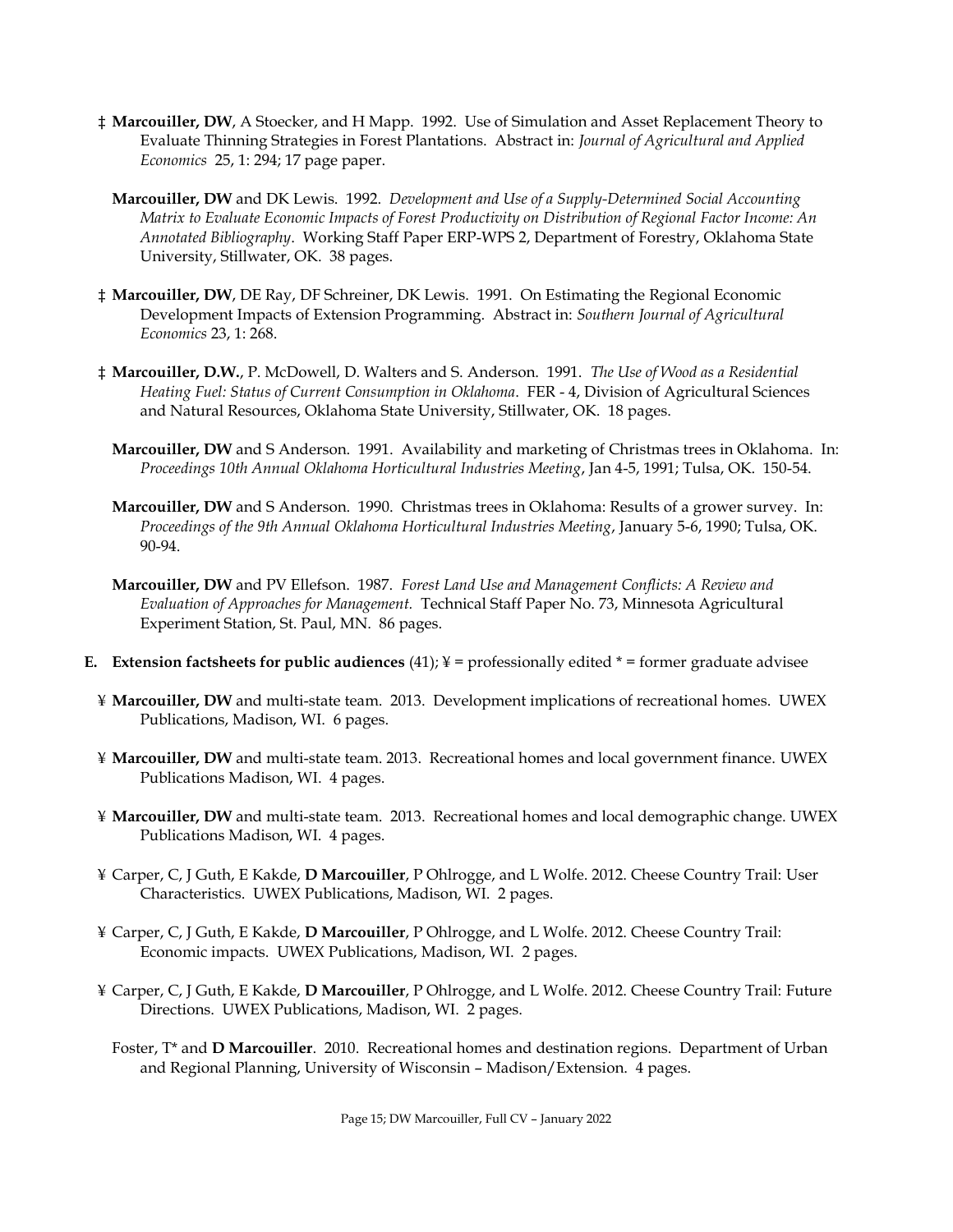- ‡ **Marcouiller, DW**, A Stoecker, and H Mapp. 1992. Use of Simulation and Asset Replacement Theory to Evaluate Thinning Strategies in Forest Plantations. Abstract in: *Journal of Agricultural and Applied Economics* 25, 1: 294; 17 page paper.
	- **Marcouiller, DW** and DK Lewis. 1992. *Development and Use of a Supply-Determined Social Accounting Matrix to Evaluate Economic Impacts of Forest Productivity on Distribution of Regional Factor Income: An Annotated Bibliography*. Working Staff Paper ERP-WPS 2, Department of Forestry, Oklahoma State University, Stillwater, OK. 38 pages.
- ‡ **Marcouiller, DW**, DE Ray, DF Schreiner, DK Lewis. 1991. On Estimating the Regional Economic Development Impacts of Extension Programming. Abstract in: *Southern Journal of Agricultural Economics* 23, 1: 268.
- ‡ **Marcouiller, D.W.**, P. McDowell, D. Walters and S. Anderson. 1991. *The Use of Wood as a Residential Heating Fuel: Status of Current Consumption in Oklahoma*. FER - 4, Division of Agricultural Sciences and Natural Resources, Oklahoma State University, Stillwater, OK. 18 pages.
	- **Marcouiller, DW** and S Anderson. 1991. Availability and marketing of Christmas trees in Oklahoma. In: *Proceedings 10th Annual Oklahoma Horticultural Industries Meeting*, Jan 4-5, 1991; Tulsa, OK. 150-54.
	- **Marcouiller, DW** and S Anderson. 1990. Christmas trees in Oklahoma: Results of a grower survey. In: *Proceedings of the 9th Annual Oklahoma Horticultural Industries Meeting*, January 5-6, 1990; Tulsa, OK. 90-94.
	- **Marcouiller, DW** and PV Ellefson. 1987. *Forest Land Use and Management Conflicts: A Review and Evaluation of Approaches for Management.* Technical Staff Paper No. 73, Minnesota Agricultural Experiment Station, St. Paul, MN. 86 pages.
- **E. Extension factsheets for public audiences** (41);  $\yen =$  professionally edited  $* =$  former graduate advisee
	- ¥ **Marcouiller, DW** and multi-state team. 2013. Development implications of recreational homes. UWEX Publications, Madison, WI. 6 pages.
	- ¥ **Marcouiller, DW** and multi-state team. 2013. Recreational homes and local government finance. UWEX Publications Madison, WI. 4 pages.
	- ¥ **Marcouiller, DW** and multi-state team. 2013. Recreational homes and local demographic change. UWEX Publications Madison, WI. 4 pages.
	- ¥ Carper, C, J Guth, E Kakde, **D Marcouiller**, P Ohlrogge, and L Wolfe. 2012. Cheese Country Trail: User Characteristics. UWEX Publications, Madison, WI. 2 pages.
	- ¥ Carper, C, J Guth, E Kakde, **D Marcouiller**, P Ohlrogge, and L Wolfe. 2012. Cheese Country Trail: Economic impacts. UWEX Publications, Madison, WI. 2 pages.
	- ¥ Carper, C, J Guth, E Kakde, **D Marcouiller**, P Ohlrogge, and L Wolfe. 2012. Cheese Country Trail: Future Directions. UWEX Publications, Madison, WI. 2 pages.
		- Foster, T\* and **D Marcouiller**. 2010. Recreational homes and destination regions. Department of Urban and Regional Planning, University of Wisconsin – Madison/Extension. 4 pages.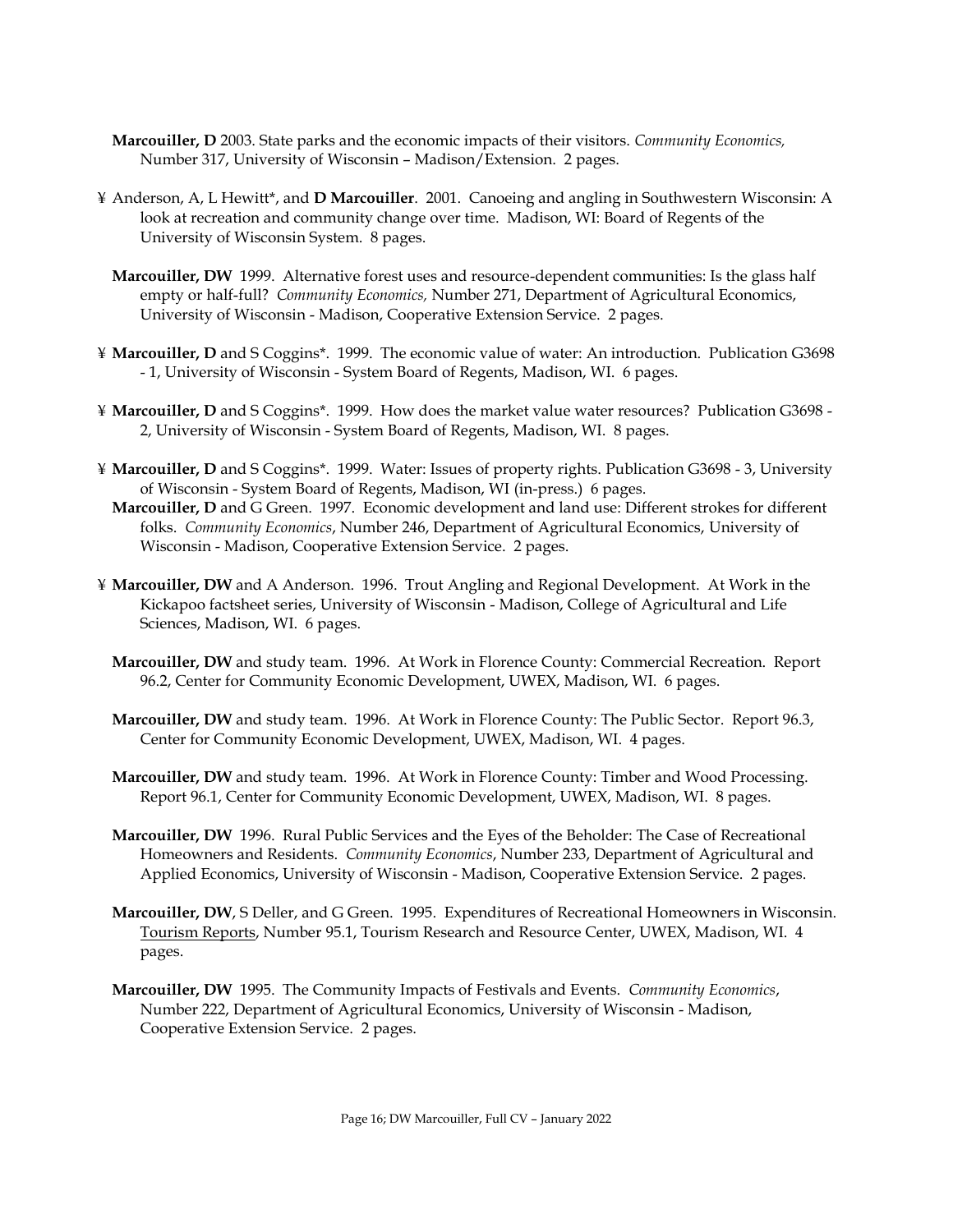- **Marcouiller, D** 2003. State parks and the economic impacts of their visitors. *Community Economics,* Number 317, University of Wisconsin – Madison/Extension. 2 pages.
- ¥ Anderson, A, L Hewitt\*, and **D Marcouiller**. 2001. Canoeing and angling in Southwestern Wisconsin: A look at recreation and community change over time. Madison, WI: Board of Regents of the University of Wisconsin System. 8 pages.
	- **Marcouiller, DW** 1999. Alternative forest uses and resource-dependent communities: Is the glass half empty or half-full? *Community Economics,* Number 271, Department of Agricultural Economics, University of Wisconsin - Madison, Cooperative Extension Service. 2 pages.
- ¥ **Marcouiller, D** and S Coggins\*. 1999. The economic value of water: An introduction. Publication G3698 - 1, University of Wisconsin - System Board of Regents, Madison, WI. 6 pages.
- ¥ **Marcouiller, D** and S Coggins\*. 1999. How does the market value water resources? Publication G3698 2, University of Wisconsin - System Board of Regents, Madison, WI. 8 pages.
- ¥ **Marcouiller, D** and S Coggins\*. 1999. Water: Issues of property rights. Publication G3698 3, University of Wisconsin - System Board of Regents, Madison, WI (in-press.) 6 pages.
- **Marcouiller, D** and G Green. 1997. Economic development and land use: Different strokes for different folks. *Community Economics*, Number 246, Department of Agricultural Economics, University of Wisconsin - Madison, Cooperative Extension Service. 2 pages.
- ¥ **Marcouiller, DW** and A Anderson. 1996. Trout Angling and Regional Development. At Work in the Kickapoo factsheet series, University of Wisconsin - Madison, College of Agricultural and Life Sciences, Madison, WI. 6 pages.
	- **Marcouiller, DW** and study team. 1996. At Work in Florence County: Commercial Recreation. Report 96.2, Center for Community Economic Development, UWEX, Madison, WI. 6 pages.
	- **Marcouiller, DW** and study team. 1996. At Work in Florence County: The Public Sector. Report 96.3, Center for Community Economic Development, UWEX, Madison, WI. 4 pages.
	- **Marcouiller, DW** and study team. 1996. At Work in Florence County: Timber and Wood Processing. Report 96.1, Center for Community Economic Development, UWEX, Madison, WI. 8 pages.
	- **Marcouiller, DW** 1996. Rural Public Services and the Eyes of the Beholder: The Case of Recreational Homeowners and Residents. *Community Economics*, Number 233, Department of Agricultural and Applied Economics, University of Wisconsin - Madison, Cooperative Extension Service. 2 pages.
	- **Marcouiller, DW**, S Deller, and G Green. 1995. Expenditures of Recreational Homeowners in Wisconsin. Tourism Reports, Number 95.1, Tourism Research and Resource Center, UWEX, Madison, WI. 4 pages.
	- **Marcouiller, DW** 1995. The Community Impacts of Festivals and Events. *Community Economics*, Number 222, Department of Agricultural Economics, University of Wisconsin - Madison, Cooperative Extension Service. 2 pages.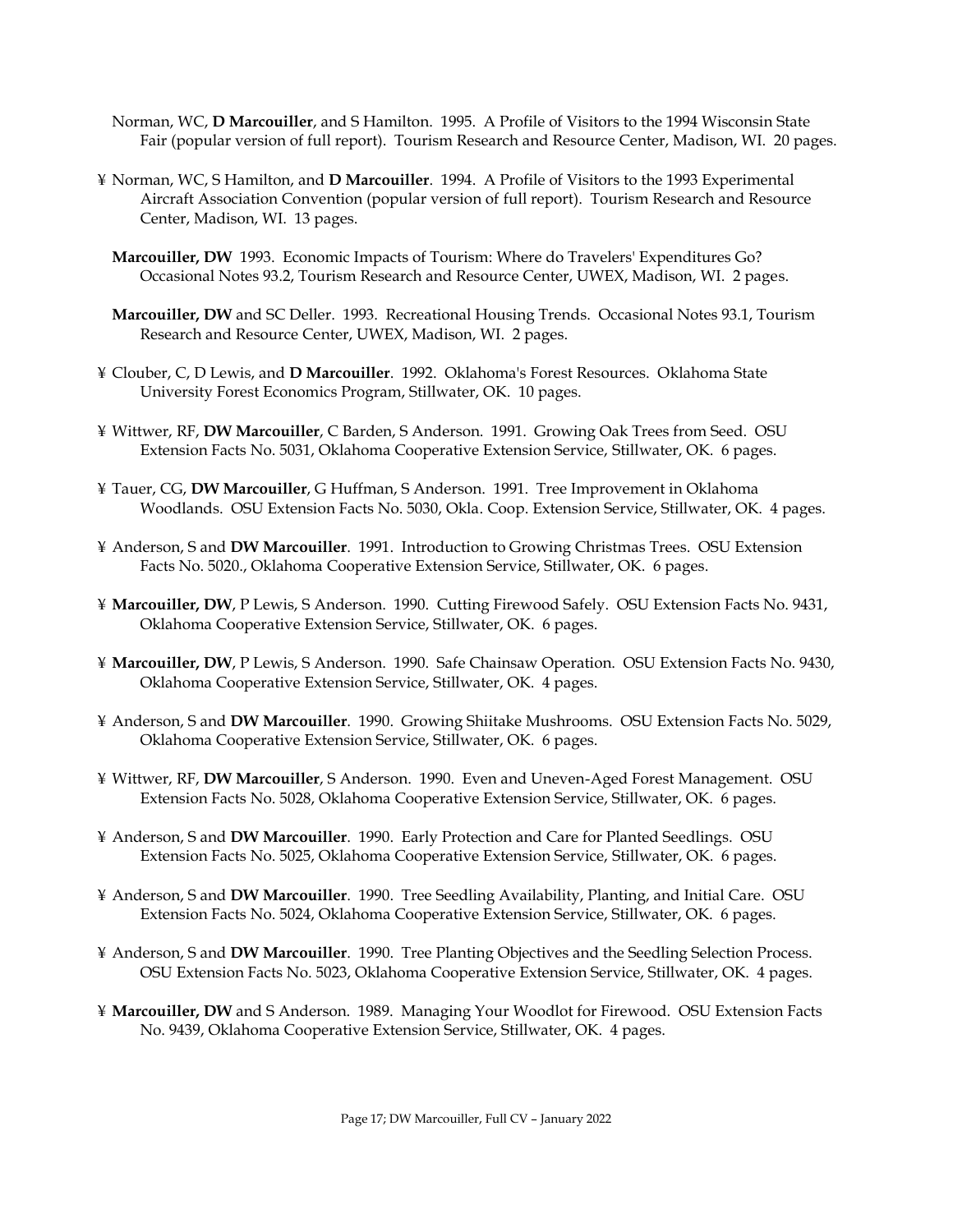- Norman, WC, **D Marcouiller**, and S Hamilton. 1995. A Profile of Visitors to the 1994 Wisconsin State Fair (popular version of full report). Tourism Research and Resource Center, Madison, WI. 20 pages.
- ¥ Norman, WC, S Hamilton, and **D Marcouiller**. 1994. A Profile of Visitors to the 1993 Experimental Aircraft Association Convention (popular version of full report). Tourism Research and Resource Center, Madison, WI. 13 pages.
	- **Marcouiller, DW** 1993. Economic Impacts of Tourism: Where do Travelers' Expenditures Go? Occasional Notes 93.2, Tourism Research and Resource Center, UWEX, Madison, WI. 2 pages.
	- **Marcouiller, DW** and SC Deller. 1993. Recreational Housing Trends. Occasional Notes 93.1, Tourism Research and Resource Center, UWEX, Madison, WI. 2 pages.
- ¥ Clouber, C, D Lewis, and **D Marcouiller**. 1992. Oklahoma's Forest Resources. Oklahoma State University Forest Economics Program, Stillwater, OK. 10 pages.
- ¥ Wittwer, RF, **DW Marcouiller**, C Barden, S Anderson. 1991. Growing Oak Trees from Seed. OSU Extension Facts No. 5031, Oklahoma Cooperative Extension Service, Stillwater, OK. 6 pages.
- ¥ Tauer, CG, **DW Marcouiller**, G Huffman, S Anderson. 1991. Tree Improvement in Oklahoma Woodlands. OSU Extension Facts No. 5030, Okla. Coop. Extension Service, Stillwater, OK. 4 pages.
- ¥ Anderson, S and **DW Marcouiller**. 1991. Introduction to Growing Christmas Trees. OSU Extension Facts No. 5020., Oklahoma Cooperative Extension Service, Stillwater, OK. 6 pages.
- ¥ **Marcouiller, DW**, P Lewis, S Anderson. 1990. Cutting Firewood Safely. OSU Extension Facts No. 9431, Oklahoma Cooperative Extension Service, Stillwater, OK. 6 pages.
- ¥ **Marcouiller, DW**, P Lewis, S Anderson. 1990. Safe Chainsaw Operation. OSU Extension Facts No. 9430, Oklahoma Cooperative Extension Service, Stillwater, OK. 4 pages.
- ¥ Anderson, S and **DW Marcouiller**. 1990. Growing Shiitake Mushrooms. OSU Extension Facts No. 5029, Oklahoma Cooperative Extension Service, Stillwater, OK. 6 pages.
- ¥ Wittwer, RF, **DW Marcouiller**, S Anderson. 1990. Even and Uneven-Aged Forest Management. OSU Extension Facts No. 5028, Oklahoma Cooperative Extension Service, Stillwater, OK. 6 pages.
- ¥ Anderson, S and **DW Marcouiller**. 1990. Early Protection and Care for Planted Seedlings. OSU Extension Facts No. 5025, Oklahoma Cooperative Extension Service, Stillwater, OK. 6 pages.
- ¥ Anderson, S and **DW Marcouiller**. 1990. Tree Seedling Availability, Planting, and Initial Care. OSU Extension Facts No. 5024, Oklahoma Cooperative Extension Service, Stillwater, OK. 6 pages.
- ¥ Anderson, S and **DW Marcouiller**. 1990. Tree Planting Objectives and the Seedling Selection Process. OSU Extension Facts No. 5023, Oklahoma Cooperative Extension Service, Stillwater, OK. 4 pages.
- ¥ **Marcouiller, DW** and S Anderson. 1989. Managing Your Woodlot for Firewood. OSU Extension Facts No. 9439, Oklahoma Cooperative Extension Service, Stillwater, OK. 4 pages.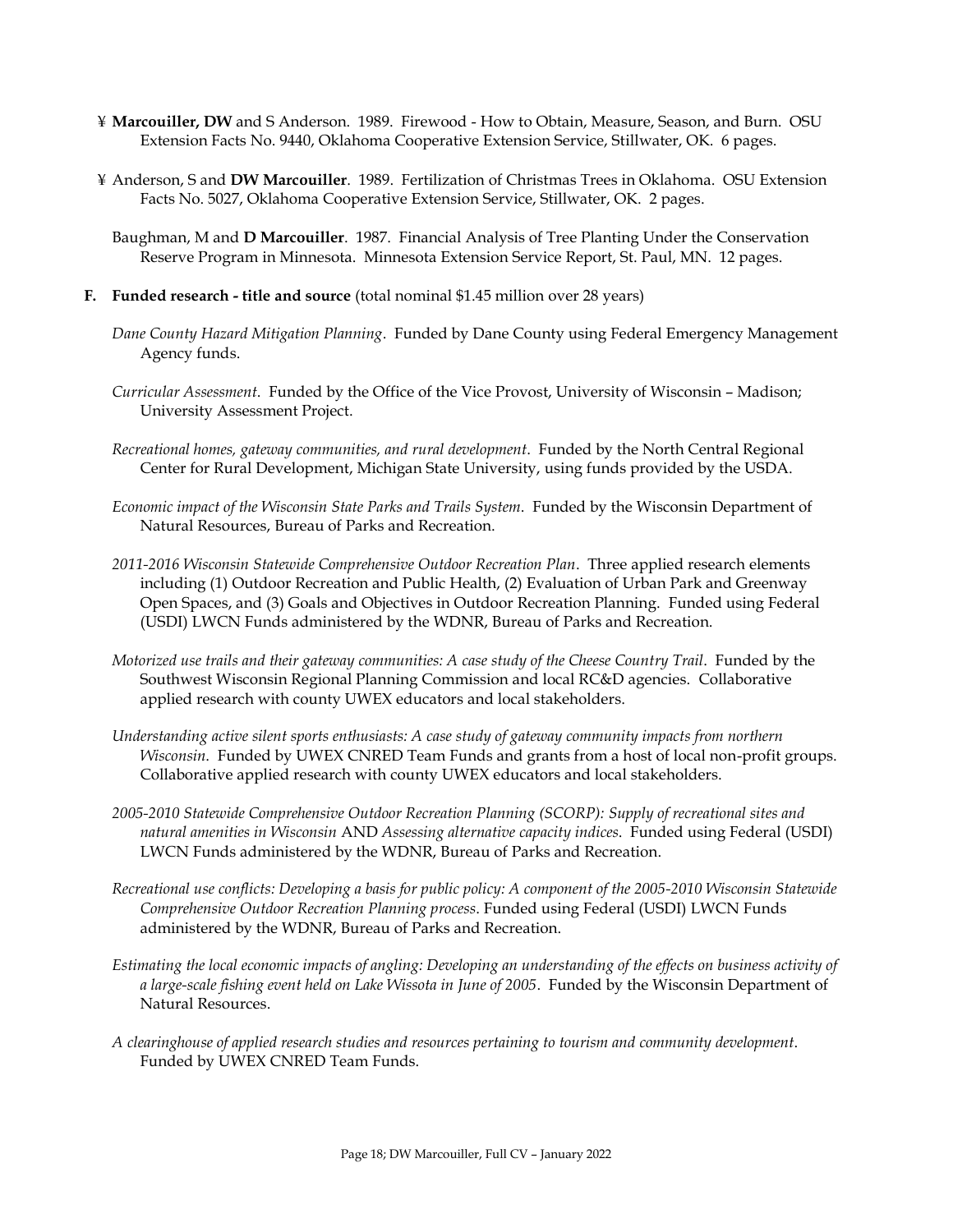- ¥ **Marcouiller, DW** and S Anderson. 1989. Firewood How to Obtain, Measure, Season, and Burn. OSU Extension Facts No. 9440, Oklahoma Cooperative Extension Service, Stillwater, OK. 6 pages.
- ¥ Anderson, S and **DW Marcouiller**. 1989. Fertilization of Christmas Trees in Oklahoma. OSU Extension Facts No. 5027, Oklahoma Cooperative Extension Service, Stillwater, OK. 2 pages.
	- Baughman, M and **D Marcouiller**. 1987. Financial Analysis of Tree Planting Under the Conservation Reserve Program in Minnesota. Minnesota Extension Service Report, St. Paul, MN. 12 pages.
- **F. Funded research - title and source** (total nominal \$1.45 million over 28 years)
	- *Dane County Hazard Mitigation Planning*. Funded by Dane County using Federal Emergency Management Agency funds.
	- *Curricular Assessment*. Funded by the Office of the Vice Provost, University of Wisconsin Madison; University Assessment Project.
	- *Recreational homes, gateway communities, and rural development*. Funded by the North Central Regional Center for Rural Development, Michigan State University, using funds provided by the USDA.
	- *Economic impact of the Wisconsin State Parks and Trails System*. Funded by the Wisconsin Department of Natural Resources, Bureau of Parks and Recreation.
	- *2011-2016 Wisconsin Statewide Comprehensive Outdoor Recreation Plan*. Three applied research elements including (1) Outdoor Recreation and Public Health, (2) Evaluation of Urban Park and Greenway Open Spaces, and (3) Goals and Objectives in Outdoor Recreation Planning. Funded using Federal (USDI) LWCN Funds administered by the WDNR, Bureau of Parks and Recreation.
	- *Motorized use trails and their gateway communities: A case study of the Cheese Country Trail*. Funded by the Southwest Wisconsin Regional Planning Commission and local RC&D agencies. Collaborative applied research with county UWEX educators and local stakeholders.
	- *Understanding active silent sports enthusiasts: A case study of gateway community impacts from northern Wisconsin*. Funded by UWEX CNRED Team Funds and grants from a host of local non-profit groups. Collaborative applied research with county UWEX educators and local stakeholders.
	- *2005-2010 Statewide Comprehensive Outdoor Recreation Planning (SCORP): Supply of recreational sites and natural amenities in Wisconsin* AND *Assessing alternative capacity indices*. Funded using Federal (USDI) LWCN Funds administered by the WDNR, Bureau of Parks and Recreation.
	- *Recreational use conflicts: Developing a basis for public policy: A component of the 2005-2010 Wisconsin Statewide Comprehensive Outdoor Recreation Planning process*. Funded using Federal (USDI) LWCN Funds administered by the WDNR, Bureau of Parks and Recreation.
	- *Estimating the local economic impacts of angling: Developing an understanding of the effects on business activity of a large-scale fishing event held on Lake Wissota in June of 2005*. Funded by the Wisconsin Department of Natural Resources.
	- *A clearinghouse of applied research studies and resources pertaining to tourism and community development*. Funded by UWEX CNRED Team Funds.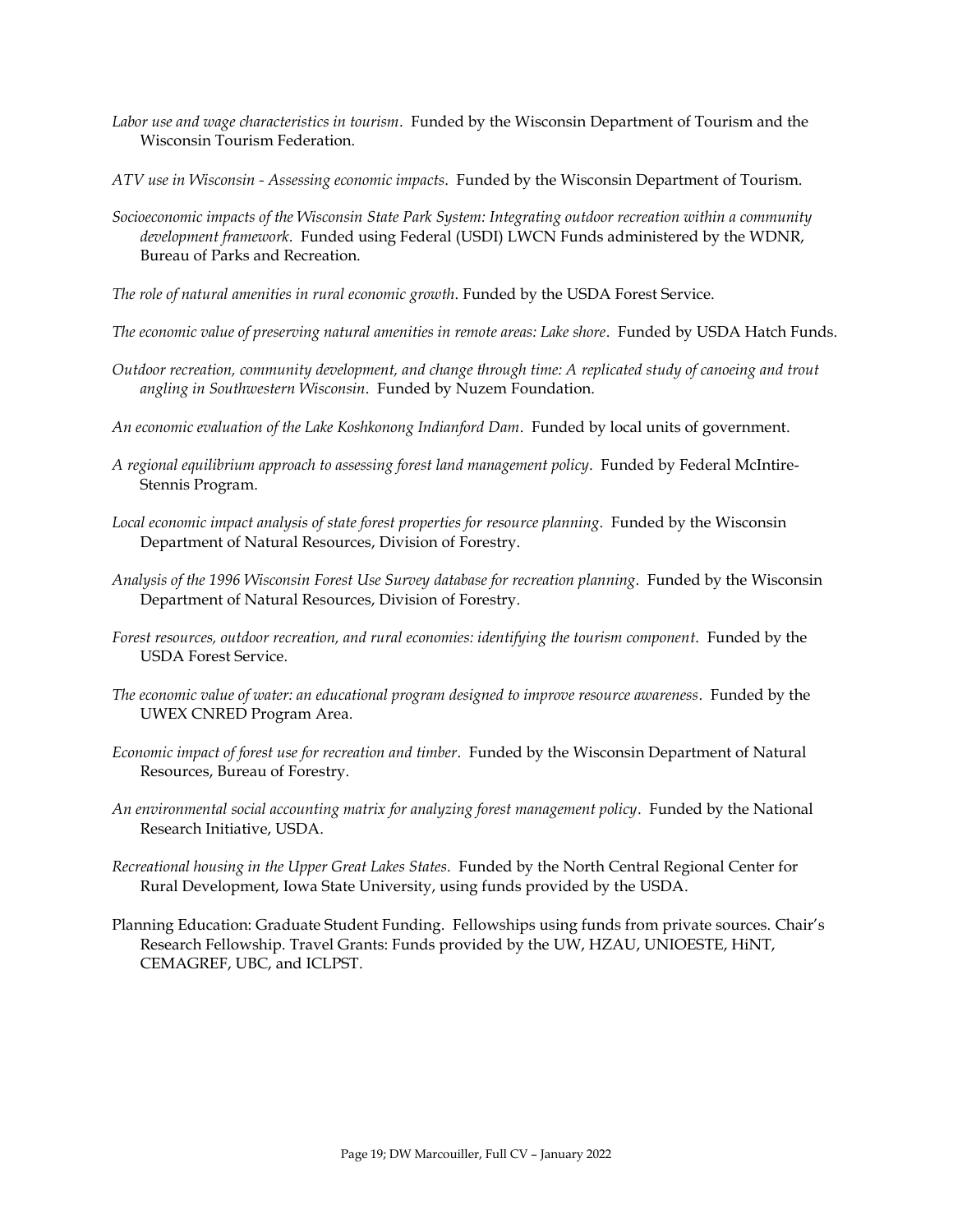- *Labor use and wage characteristics in tourism*. Funded by the Wisconsin Department of Tourism and the Wisconsin Tourism Federation.
- *ATV use in Wisconsin - Assessing economic impacts*. Funded by the Wisconsin Department of Tourism.
- *Socioeconomic impacts of the Wisconsin State Park System: Integrating outdoor recreation within a community development framework*. Funded using Federal (USDI) LWCN Funds administered by the WDNR, Bureau of Parks and Recreation.
- *The role of natural amenities in rural economic growth*. Funded by the USDA Forest Service.
- *The economic value of preserving natural amenities in remote areas: Lake shore*. Funded by USDA Hatch Funds.
- *Outdoor recreation, community development, and change through time: A replicated study of canoeing and trout angling in Southwestern Wisconsin*. Funded by Nuzem Foundation.
- *An economic evaluation of the Lake Koshkonong Indianford Dam*. Funded by local units of government.
- *A regional equilibrium approach to assessing forest land management policy*. Funded by Federal McIntire-Stennis Program.
- *Local economic impact analysis of state forest properties for resource planning*. Funded by the Wisconsin Department of Natural Resources, Division of Forestry.
- *Analysis of the 1996 Wisconsin Forest Use Survey database for recreation planning*. Funded by the Wisconsin Department of Natural Resources, Division of Forestry.
- *Forest resources, outdoor recreation, and rural economies: identifying the tourism component*. Funded by the USDA Forest Service.
- *The economic value of water: an educational program designed to improve resource awareness*. Funded by the UWEX CNRED Program Area.
- *Economic impact of forest use for recreation and timber*. Funded by the Wisconsin Department of Natural Resources, Bureau of Forestry.
- *An environmental social accounting matrix for analyzing forest management policy*. Funded by the National Research Initiative, USDA.
- *Recreational housing in the Upper Great Lakes States*. Funded by the North Central Regional Center for Rural Development, Iowa State University, using funds provided by the USDA.
- Planning Education: Graduate Student Funding. Fellowships using funds from private sources. Chair's Research Fellowship. Travel Grants: Funds provided by the UW, HZAU, UNIOESTE, HiNT, CEMAGREF, UBC, and ICLPST.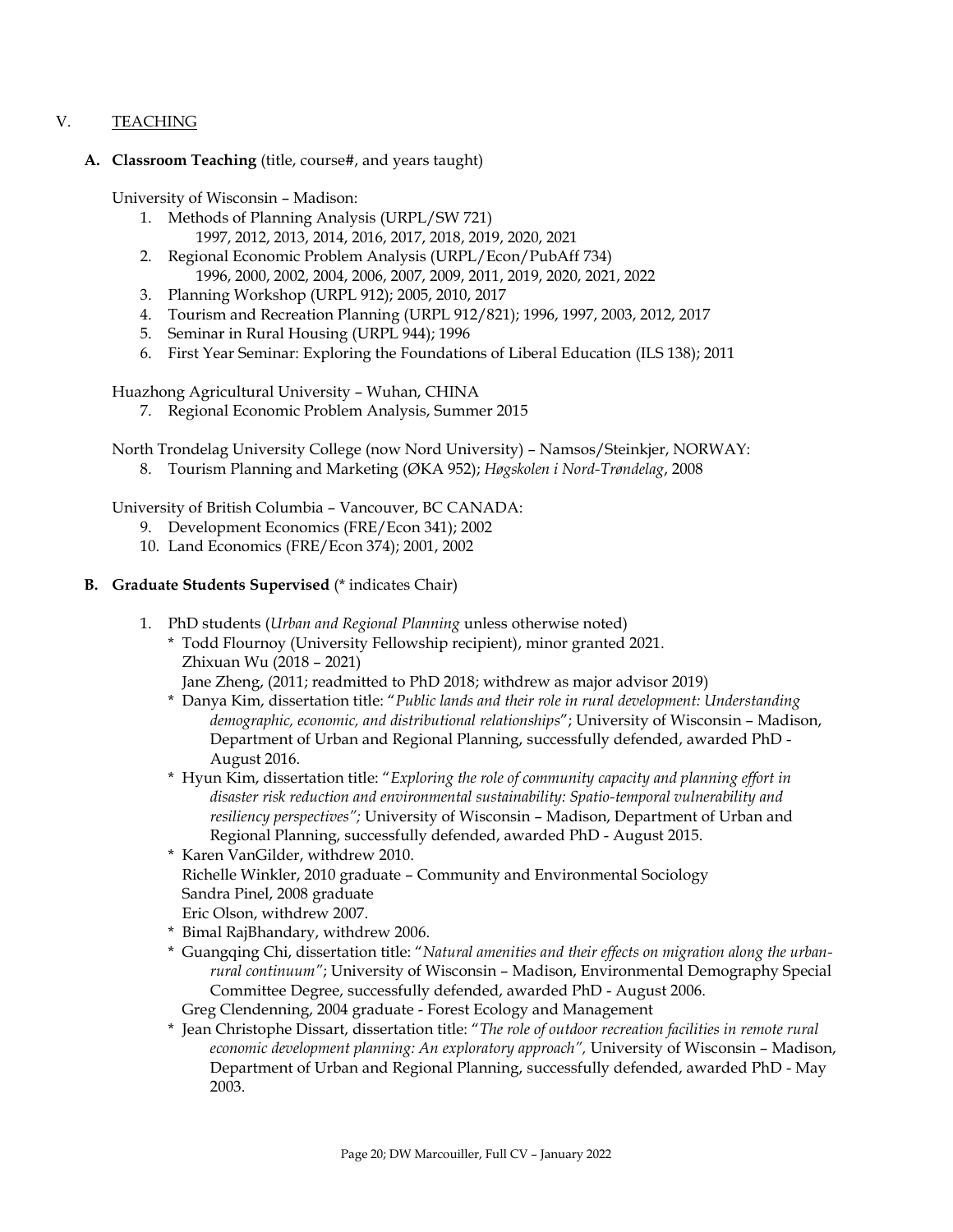### V. TEACHING

#### **A. Classroom Teaching** (title, course#, and years taught)

University of Wisconsin – Madison:

- 1. Methods of Planning Analysis (URPL/SW 721) 1997, 2012, 2013, 2014, 2016, 2017, 2018, 2019, 2020, 2021
- 2. Regional Economic Problem Analysis (URPL/Econ/PubAff 734) 1996, 2000, 2002, 2004, 2006, 2007, 2009, 2011, 2019, 2020, 2021, 2022
- 3. Planning Workshop (URPL 912); 2005, 2010, 2017
- 4. Tourism and Recreation Planning (URPL 912/821); 1996, 1997, 2003, 2012, 2017
- 5. Seminar in Rural Housing (URPL 944); 1996
- 6. First Year Seminar: Exploring the Foundations of Liberal Education (ILS 138); 2011

Huazhong Agricultural University – Wuhan, CHINA

7. Regional Economic Problem Analysis, Summer 2015

North Trondelag University College (now Nord University) – Namsos/Steinkjer, NORWAY:

8. Tourism Planning and Marketing (ØKA 952); *Høgskolen i Nord-Trøndelag*, 2008

University of British Columbia – Vancouver, BC CANADA:

- 9. Development Economics (FRE/Econ 341); 2002
- 10. Land Economics (FRE/Econ 374); 2001, 2002
- **B. Graduate Students Supervised** (\* indicates Chair)
	- 1. PhD students (*Urban and Regional Planning* unless otherwise noted)
		- \* Todd Flournoy (University Fellowship recipient), minor granted 2021. Zhixuan Wu (2018 – 2021)
			- Jane Zheng, (2011; readmitted to PhD 2018; withdrew as major advisor 2019)
		- \* Danya Kim, dissertation title: "*Public lands and their role in rural development: Understanding demographic, economic, and distributional relationships*"; University of Wisconsin – Madison, Department of Urban and Regional Planning, successfully defended, awarded PhD - August 2016.
		- \* Hyun Kim, dissertation title: "*Exploring the role of community capacity and planning effort in disaster risk reduction and environmental sustainability: Spatio-temporal vulnerability and resiliency perspectives";* University of Wisconsin – Madison, Department of Urban and Regional Planning, successfully defended, awarded PhD - August 2015.
		- \* Karen VanGilder, withdrew 2010. Richelle Winkler, 2010 graduate – Community and Environmental Sociology Sandra Pinel, 2008 graduate Eric Olson, withdrew 2007.
		- \* Bimal RajBhandary, withdrew 2006.
		- \* Guangqing Chi, dissertation title: "*Natural amenities and their effects on migration along the urbanrural continuum"*; University of Wisconsin – Madison, Environmental Demography Special Committee Degree, successfully defended, awarded PhD - August 2006.
		- Greg Clendenning, 2004 graduate Forest Ecology and Management
		- \* Jean Christophe Dissart, dissertation title: "*The role of outdoor recreation facilities in remote rural economic development planning: An exploratory approach",* University of Wisconsin – Madison, Department of Urban and Regional Planning, successfully defended, awarded PhD - May 2003.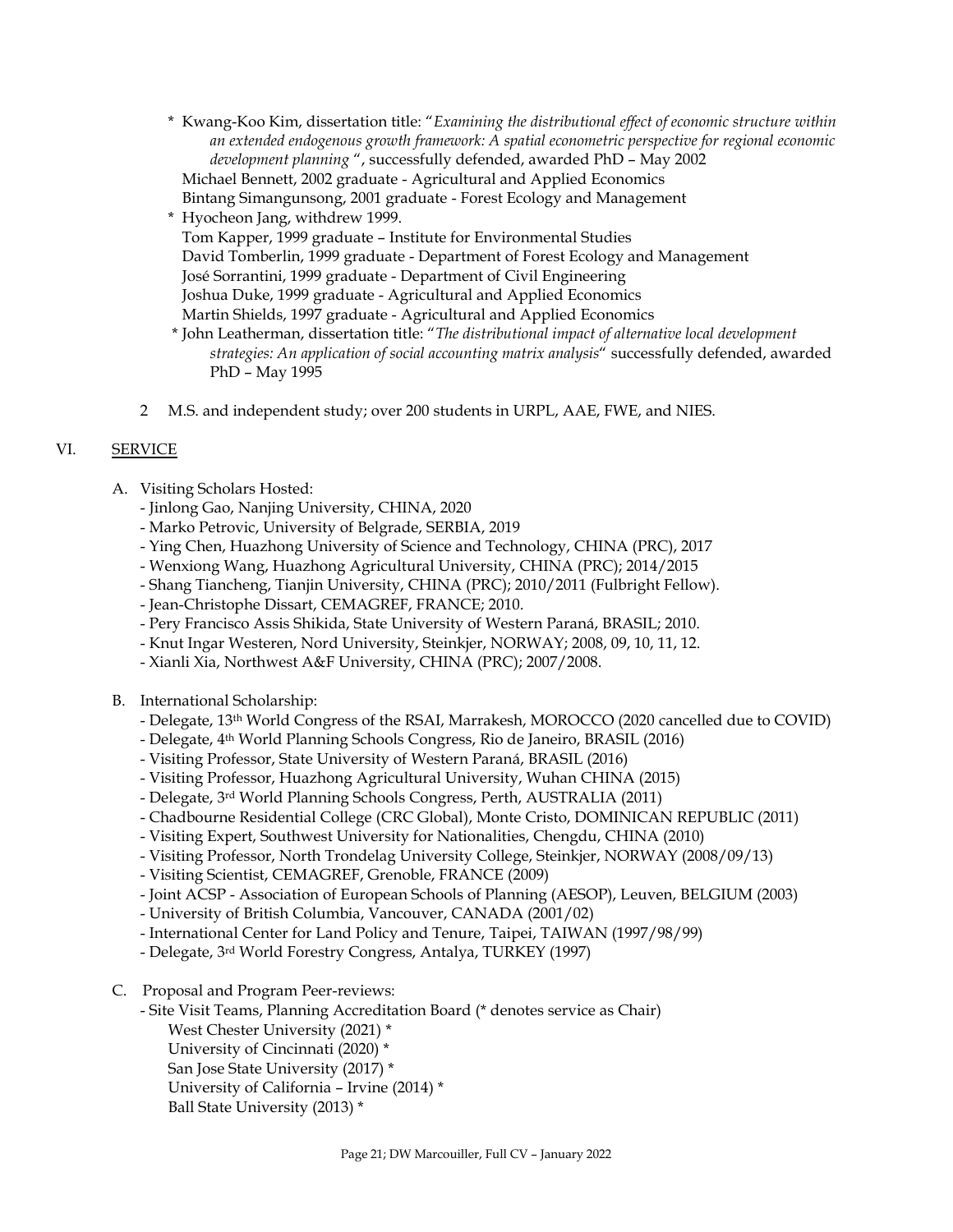- \* Kwang-Koo Kim, dissertation title: "*Examining the distributional effect of economic structure within an extended endogenous growth framework: A spatial econometric perspective for regional economic development planning* ", successfully defended, awarded PhD – May 2002 Michael Bennett, 2002 graduate - Agricultural and Applied Economics Bintang Simangunsong, 2001 graduate - Forest Ecology and Management
- \* Hyocheon Jang, withdrew 1999. Tom Kapper, 1999 graduate – Institute for Environmental Studies David Tomberlin, 1999 graduate - Department of Forest Ecology and Management José Sorrantini, 1999 graduate - Department of Civil Engineering Joshua Duke, 1999 graduate - Agricultural and Applied Economics Martin Shields, 1997 graduate - Agricultural and Applied Economics
- \* John Leatherman, dissertation title: "*The distributional impact of alternative local development strategies: An application of social accounting matrix analysis*" successfully defended, awarded PhD – May 1995
- 2 M.S. and independent study; over 200 students in URPL, AAE, FWE, and NIES.

## VI. **SERVICE**

- A. Visiting Scholars Hosted:
	- Jinlong Gao, Nanjing University, CHINA, 2020
	- Marko Petrovic, University of Belgrade, SERBIA, 2019
	- Ying Chen, Huazhong University of Science and Technology, CHINA (PRC), 2017
	- Wenxiong Wang, Huazhong Agricultural University, CHINA (PRC); 2014/2015
	- Shang Tiancheng, Tianjin University, CHINA (PRC); 2010/2011 (Fulbright Fellow).
	- Jean-Christophe Dissart, CEMAGREF, FRANCE; 2010.
	- Pery Francisco Assis Shikida, State University of Western Paraná, BRASIL; 2010.
	- Knut Ingar Westeren, Nord University, Steinkjer, NORWAY; 2008, 09, 10, 11, 12.
	- Xianli Xia, Northwest A&F University, CHINA (PRC); 2007/2008.
- B. International Scholarship:
	- Delegate, 13th World Congress of the RSAI, Marrakesh, MOROCCO (2020 cancelled due to COVID)
	- Delegate, 4 th World Planning Schools Congress, Rio de Janeiro, BRASIL (2016)
	- Visiting Professor, State University of Western Paraná, BRASIL (2016)
	- Visiting Professor, Huazhong Agricultural University, Wuhan CHINA (2015)
	- Delegate, 3rd World Planning Schools Congress, Perth, AUSTRALIA (2011)
	- Chadbourne Residential College (CRC Global), Monte Cristo, DOMINICAN REPUBLIC (2011)
	- Visiting Expert, Southwest University for Nationalities, Chengdu, CHINA (2010)
	- Visiting Professor, North Trondelag University College, Steinkjer, NORWAY (2008/09/13)
	- Visiting Scientist, CEMAGREF, Grenoble, FRANCE (2009)
	- Joint ACSP Association of European Schools of Planning (AESOP), Leuven, BELGIUM (2003)
	- University of British Columbia, Vancouver, CANADA (2001/02)
	- International Center for Land Policy and Tenure, Taipei, TAIWAN (1997/98/99)
	- Delegate, 3rd World Forestry Congress, Antalya, TURKEY (1997)
- C. Proposal and Program Peer-reviews:
	- Site Visit Teams, Planning Accreditation Board (\* denotes service as Chair)
		- West Chester University (2021) \*
		- University of Cincinnati (2020) \*
		- San Jose State University (2017) \*
		- University of California Irvine (2014) \*
		- Ball State University (2013) \*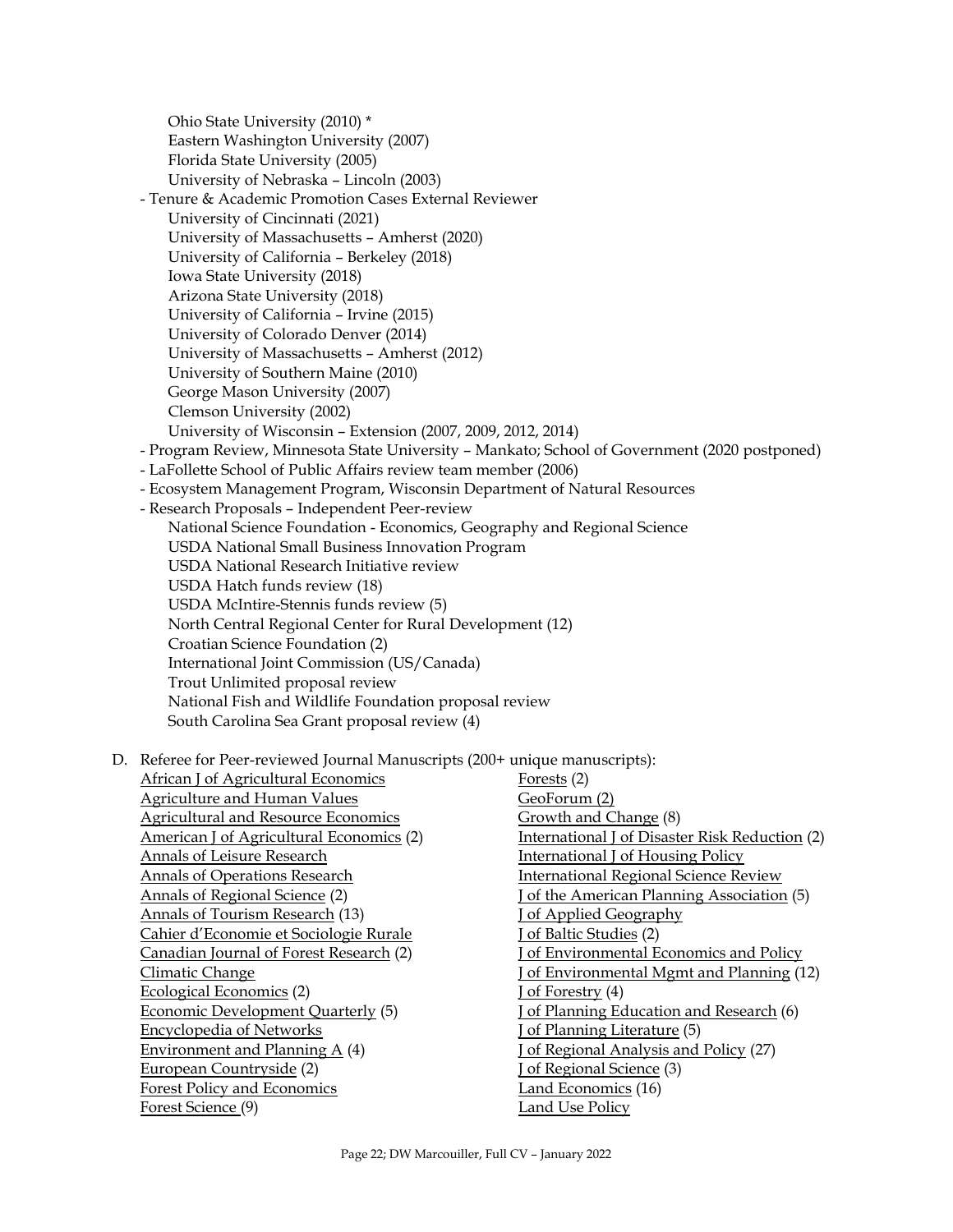Ohio State University (2010) \* Eastern Washington University (2007) Florida State University (2005) University of Nebraska – Lincoln (2003) - Tenure & Academic Promotion Cases External Reviewer University of Cincinnati (2021) University of Massachusetts – Amherst (2020) University of California – Berkeley (2018) Iowa State University (2018) Arizona State University (2018) University of California – Irvine (2015) University of Colorado Denver (2014) University of Massachusetts – Amherst (2012) University of Southern Maine (2010) George Mason University (2007) Clemson University (2002) University of Wisconsin – Extension (2007, 2009, 2012, 2014) - Program Review, Minnesota State University – Mankato; School of Government (2020 postponed) - LaFollette School of Public Affairs review team member (2006) - Ecosystem Management Program, Wisconsin Department of Natural Resources - Research Proposals – Independent Peer-review National Science Foundation - Economics, Geography and Regional Science USDA National Small Business Innovation Program USDA National Research Initiative review USDA Hatch funds review (18) USDA McIntire-Stennis funds review (5) North Central Regional Center for Rural Development (12) Croatian Science Foundation (2) International Joint Commission (US/Canada) Trout Unlimited proposal review National Fish and Wildlife Foundation proposal review South Carolina Sea Grant proposal review (4)

D. Referee for Peer-reviewed Journal Manuscripts (200+ unique manuscripts):

| African J of Agricultural Economics        | Forests (2)                                    |
|--------------------------------------------|------------------------------------------------|
| Agriculture and Human Values               | GeoForum (2)                                   |
| <b>Agricultural and Resource Economics</b> | Growth and Change (8)                          |
| American J of Agricultural Economics (2)   | International J of Disaster Risk Reduction (2) |
| Annals of Leisure Research                 | <b>International J of Housing Policy</b>       |
| <b>Annals of Operations Research</b>       | <b>International Regional Science Review</b>   |
| Annals of Regional Science (2)             | of the American Planning Association (5)       |
| Annals of Tourism Research (13)            | of Applied Geography                           |
| Cahier d'Economie et Sociologie Rurale     | of Baltic Studies (2)                          |
| Canadian Journal of Forest Research (2)    | of Environmental Economics and Policy          |
| Climatic Change                            | of Environmental Mgmt and Planning (12)        |
| Ecological Economics (2)                   | of Forestry $(4)$                              |
| Economic Development Quarterly (5)         | of Planning Education and Research (6)         |
| <b>Encyclopedia of Networks</b>            | of Planning Literature (5)                     |
| Environment and Planning $A(4)$            | of Regional Analysis and Policy (27)           |
| European Countryside (2)                   | of Regional Science (3)                        |
| Forest Policy and Economics                | Land Economics (16)                            |
| Forest Science (9)                         | Land Use Policy                                |
|                                            |                                                |